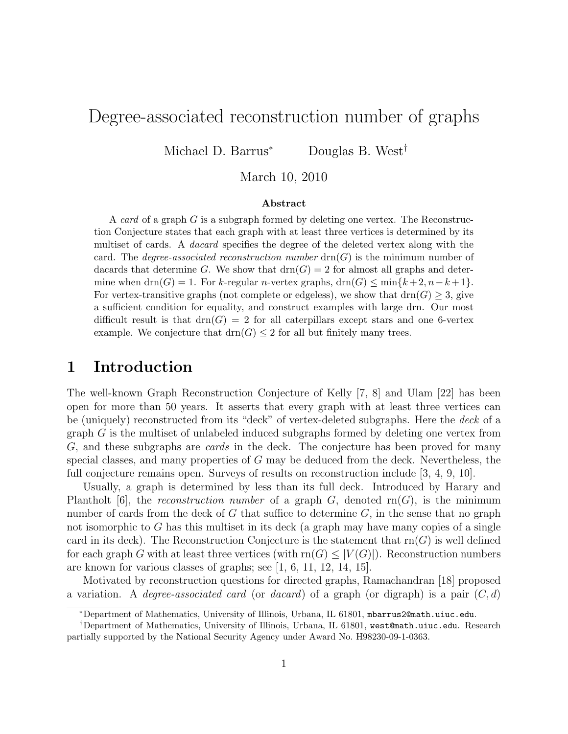# Degree-associated reconstruction number of graphs

Michael D. Barrus<sup>∗</sup> Douglas B. West†

### March 10, 2010

#### Abstract

A card of a graph G is a subgraph formed by deleting one vertex. The Reconstruction Conjecture states that each graph with at least three vertices is determined by its multiset of cards. A *dacard* specifies the degree of the deleted vertex along with the card. The *degree-associated reconstruction number* drn( $G$ ) is the minimum number of dacards that determine G. We show that  $\text{drn}(G) = 2$  for almost all graphs and determine when drn(G) = 1. For k-regular n-vertex graphs, drn(G)  $\leq \min\{k+2, n-k+1\}$ . For vertex-transitive graphs (not complete or edgeless), we show that  $\text{drn}(G) \geq 3$ , give a sufficient condition for equality, and construct examples with large drn. Our most difficult result is that  $\text{dm}(G) = 2$  for all caterpillars except stars and one 6-vertex example. We conjecture that  $\text{drn}(G) \leq 2$  for all but finitely many trees.

## 1 Introduction

The well-known Graph Reconstruction Conjecture of Kelly [7, 8] and Ulam [22] has been open for more than 50 years. It asserts that every graph with at least three vertices can be (uniquely) reconstructed from its "deck" of vertex-deleted subgraphs. Here the deck of a graph G is the multiset of unlabeled induced subgraphs formed by deleting one vertex from G, and these subgraphs are *cards* in the deck. The conjecture has been proved for many special classes, and many properties of  $G$  may be deduced from the deck. Nevertheless, the full conjecture remains open. Surveys of results on reconstruction include [3, 4, 9, 10].

Usually, a graph is determined by less than its full deck. Introduced by Harary and Plantholt [6], the reconstruction number of a graph  $G$ , denoted  $rn(G)$ , is the minimum number of cards from the deck of G that suffice to determine  $G$ , in the sense that no graph not isomorphic to  $G$  has this multiset in its deck (a graph may have many copies of a single card in its deck). The Reconstruction Conjecture is the statement that  $rn(G)$  is well defined for each graph G with at least three vertices (with  $\text{rn}(G) \leq |V(G)|$ ). Reconstruction numbers are known for various classes of graphs; see [1, 6, 11, 12, 14, 15].

Motivated by reconstruction questions for directed graphs, Ramachandran [18] proposed a variation. A *degree-associated card* (or *dacard*) of a graph (or digraph) is a pair  $(C, d)$ 

<sup>∗</sup>Department of Mathematics, University of Illinois, Urbana, IL 61801, mbarrus2@math.uiuc.edu.

<sup>†</sup>Department of Mathematics, University of Illinois, Urbana, IL 61801, west@math.uiuc.edu. Research partially supported by the National Security Agency under Award No. H98230-09-1-0363.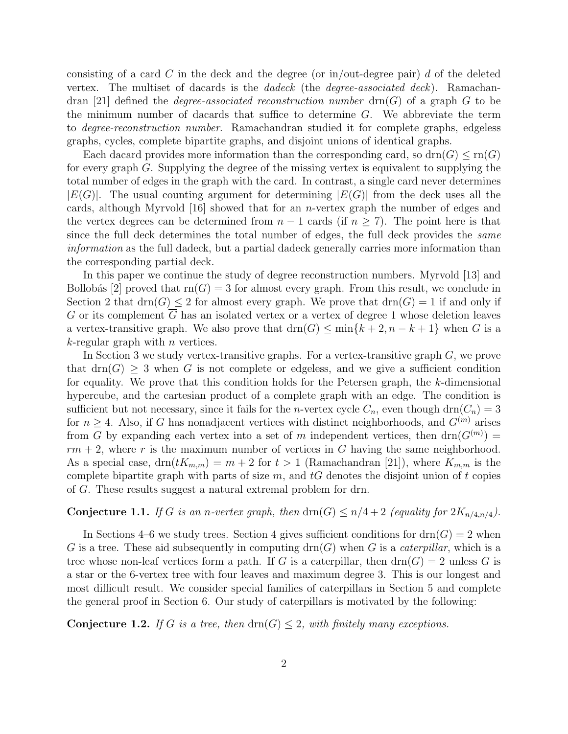consisting of a card C in the deck and the degree (or in/out-degree pair) d of the deleted vertex. The multiset of dacards is the *dadeck* (the *degree-associated deck*). Ramachandran [21] defined the *degree-associated reconstruction number* drn( $G$ ) of a graph  $G$  to be the minimum number of dacards that suffice to determine  $G$ . We abbreviate the term to degree-reconstruction number. Ramachandran studied it for complete graphs, edgeless graphs, cycles, complete bipartite graphs, and disjoint unions of identical graphs.

Each dacard provides more information than the corresponding card, so  $\text{drn}(G) \le \text{rn}(G)$ for every graph G. Supplying the degree of the missing vertex is equivalent to supplying the total number of edges in the graph with the card. In contrast, a single card never determines  $|E(G)|$ . The usual counting argument for determining  $|E(G)|$  from the deck uses all the cards, although Myrvold [16] showed that for an n-vertex graph the number of edges and the vertex degrees can be determined from  $n-1$  cards (if  $n \geq 7$ ). The point here is that since the full deck determines the total number of edges, the full deck provides the same information as the full dadeck, but a partial dadeck generally carries more information than the corresponding partial deck.

In this paper we continue the study of degree reconstruction numbers. Myrvold [13] and Bollobás [2] proved that  $rn(G) = 3$  for almost every graph. From this result, we conclude in Section 2 that  $\text{drn}(G) \leq 2$  for almost every graph. We prove that  $\text{drn}(G) = 1$  if and only if G or its complement G has an isolated vertex or a vertex of degree 1 whose deletion leaves a vertex-transitive graph. We also prove that  $\text{drn}(G) \le \min\{k+2, n-k+1\}$  when G is a  $k$ -regular graph with *n* vertices.

In Section 3 we study vertex-transitive graphs. For a vertex-transitive graph G, we prove that  $\text{drn}(G) > 3$  when G is not complete or edgeless, and we give a sufficient condition for equality. We prove that this condition holds for the Petersen graph, the  $k$ -dimensional hypercube, and the cartesian product of a complete graph with an edge. The condition is sufficient but not necessary, since it fails for the *n*-vertex cycle  $C_n$ , even though drn $(C_n) = 3$ for  $n \geq 4$ . Also, if G has nonadjacent vertices with distinct neighborhoods, and  $G^{(m)}$  arises from G by expanding each vertex into a set of m independent vertices, then  $\text{drn}(G^{(m)}) =$  $rm + 2$ , where r is the maximum number of vertices in G having the same neighborhood. As a special case,  $\text{dm}(tK_{m,m}) = m + 2$  for  $t > 1$  (Ramachandran [21]), where  $K_{m,m}$  is the complete bipartite graph with parts of size  $m$ , and  $tG$  denotes the disjoint union of t copies of G. These results suggest a natural extremal problem for drn.

#### **Conjecture 1.1.** If G is an n-vertex graph, then  $\text{drn}(G) \leq n/4 + 2$  (equality for  $2K_{n/4,n/4}$ ).

In Sections 4–6 we study trees. Section 4 gives sufficient conditions for  $\text{drn}(G) = 2$  when G is a tree. These aid subsequently in computing  $\text{drn}(G)$  when G is a *caterpillar*, which is a tree whose non-leaf vertices form a path. If G is a caterpillar, then  $\text{drn}(G) = 2$  unless G is a star or the 6-vertex tree with four leaves and maximum degree 3. This is our longest and most difficult result. We consider special families of caterpillars in Section 5 and complete the general proof in Section 6. Our study of caterpillars is motivated by the following:

**Conjecture 1.2.** If G is a tree, then  $\text{dm}(G) \leq 2$ , with finitely many exceptions.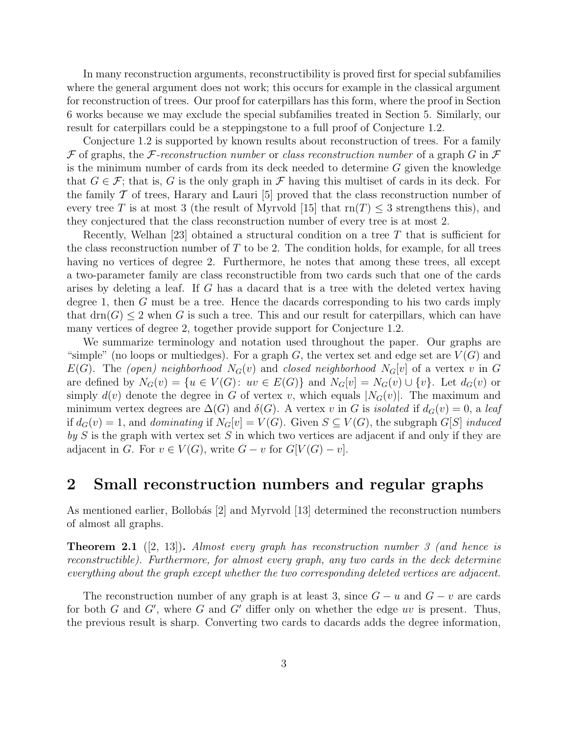In many reconstruction arguments, reconstructibility is proved first for special subfamilies where the general argument does not work; this occurs for example in the classical argument for reconstruction of trees. Our proof for caterpillars has this form, where the proof in Section 6 works because we may exclude the special subfamilies treated in Section 5. Similarly, our result for caterpillars could be a steppingstone to a full proof of Conjecture 1.2.

Conjecture 1.2 is supported by known results about reconstruction of trees. For a family F of graphs, the F-reconstruction number or class reconstruction number of a graph G in  $\mathcal F$ is the minimum number of cards from its deck needed to determine  $G$  given the knowledge that  $G \in \mathcal{F}$ ; that is, G is the only graph in  $\mathcal F$  having this multiset of cards in its deck. For the family  $\mathcal T$  of trees, Harary and Lauri [5] proved that the class reconstruction number of every tree T is at most 3 (the result of Myrvold [15] that  $rn(T) \leq 3$  strengthens this), and they conjectured that the class reconstruction number of every tree is at most 2.

Recently, Welhan [23] obtained a structural condition on a tree T that is sufficient for the class reconstruction number of  $T$  to be 2. The condition holds, for example, for all trees having no vertices of degree 2. Furthermore, he notes that among these trees, all except a two-parameter family are class reconstructible from two cards such that one of the cards arises by deleting a leaf. If G has a dacard that is a tree with the deleted vertex having degree 1, then G must be a tree. Hence the dacards corresponding to his two cards imply that  $\text{drn}(G) \leq 2$  when G is such a tree. This and our result for caterpillars, which can have many vertices of degree 2, together provide support for Conjecture 1.2.

We summarize terminology and notation used throughout the paper. Our graphs are "simple" (no loops or multiedges). For a graph  $G$ , the vertex set and edge set are  $V(G)$  and  $E(G)$ . The (open) neighborhood  $N_G(v)$  and closed neighborhood  $N_G[v]$  of a vertex v in G are defined by  $N_G(v) = \{u \in V(G): uv \in E(G)\}\$  and  $N_G[v] = N_G(v) \cup \{v\}$ . Let  $d_G(v)$  or simply  $d(v)$  denote the degree in G of vertex v, which equals  $|N_G(v)|$ . The maximum and minimum vertex degrees are  $\Delta(G)$  and  $\delta(G)$ . A vertex v in G is isolated if  $d_G(v) = 0$ , a leaf if  $d_G(v) = 1$ , and dominating if  $N_G[v] = V(G)$ . Given  $S \subseteq V(G)$ , the subgraph  $G[S]$  induced by  $S$  is the graph with vertex set  $S$  in which two vertices are adjacent if and only if they are adjacent in G. For  $v \in V(G)$ , write  $G - v$  for  $G[V(G) - v]$ .

### 2 Small reconstruction numbers and regular graphs

As mentioned earlier, Bollobás [2] and Myrvold [13] determined the reconstruction numbers of almost all graphs.

**Theorem 2.1** ([2, 13]). Almost every graph has reconstruction number 3 (and hence is reconstructible). Furthermore, for almost every graph, any two cards in the deck determine everything about the graph except whether the two corresponding deleted vertices are adjacent.

The reconstruction number of any graph is at least 3, since  $G - u$  and  $G - v$  are cards for both G and G', where G and G' differ only on whether the edge uv is present. Thus, the previous result is sharp. Converting two cards to dacards adds the degree information,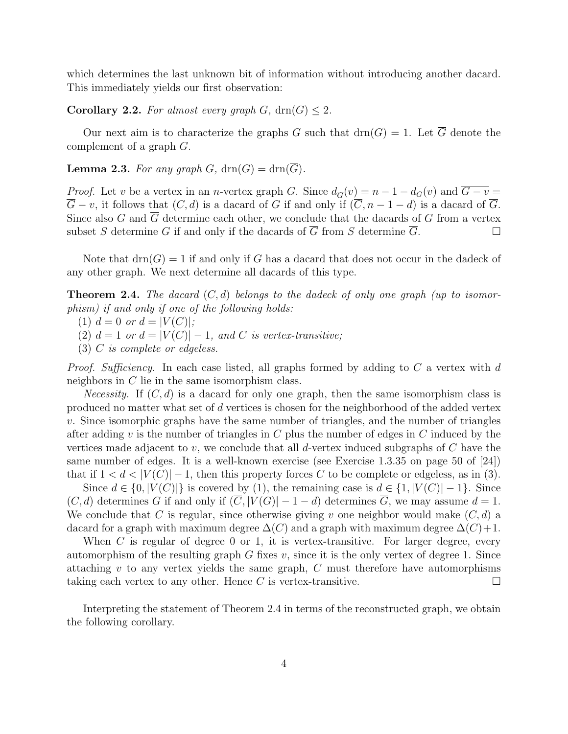which determines the last unknown bit of information without introducing another dacard. This immediately yields our first observation:

**Corollary 2.2.** For almost every graph  $G$ ,  $\text{drn}(G) \leq 2$ .

Our next aim is to characterize the graphs G such that  $\text{dm}(G) = 1$ . Let  $\overline{G}$  denote the complement of a graph G.

**Lemma 2.3.** For any graph G,  $\text{drn}(G) = \text{drn}(\overline{G})$ .

*Proof.* Let v be a vertex in an n-vertex graph G. Since  $d_{\overline{G}}(v) = n - 1 - d_G(v)$  and  $\overline{G - v} =$  $\overline{G}-v$ , it follows that  $(C, d)$  is a dacard of G if and only if  $(\overline{C}, n-1-d)$  is a dacard of  $\overline{G}$ . Since also G and  $\overline{G}$  determine each other, we conclude that the dacards of G from a vertex subset S determine G if and only if the dacards of  $\overline{G}$  from S determine  $\overline{G}$ .

Note that  $\text{drn}(G) = 1$  if and only if G has a dacard that does not occur in the dadeck of any other graph. We next determine all dacards of this type.

**Theorem 2.4.** The dacard  $(C, d)$  belongs to the dadeck of only one graph (up to isomorphism) if and only if one of the following holds:

(1)  $d = 0$  or  $d = |V(C)|$ ;

(2)  $d = 1$  or  $d = |V(C)| - 1$ , and C is vertex-transitive;

(3) C is complete or edgeless.

*Proof. Sufficiency.* In each case listed, all graphs formed by adding to  $C$  a vertex with d neighbors in  $C$  lie in the same isomorphism class.

*Necessity.* If  $(C, d)$  is a dacard for only one graph, then the same isomorphism class is produced no matter what set of d vertices is chosen for the neighborhood of the added vertex  $v$ . Since isomorphic graphs have the same number of triangles, and the number of triangles after adding v is the number of triangles in C plus the number of edges in C induced by the vertices made adjacent to  $v$ , we conclude that all  $d$ -vertex induced subgraphs of  $C$  have the same number of edges. It is a well-known exercise (see Exercise 1.3.35 on page 50 of [24]) that if  $1 < d < |V(C)| - 1$ , then this property forces C to be complete or edgeless, as in (3).

Since  $d \in \{0, |V(C)|\}$  is covered by (1), the remaining case is  $d \in \{1, |V(C)| - 1\}$ . Since  $(C, d)$  determines G if and only if  $(\overline{C}, |V(G)| - 1 - d)$  determines  $\overline{G}$ , we may assume  $d = 1$ . We conclude that C is regular, since otherwise giving v one neighbor would make  $(C, d)$  a dacard for a graph with maximum degree  $\Delta(C)$  and a graph with maximum degree  $\Delta(C)+1$ .

When  $C$  is regular of degree 0 or 1, it is vertex-transitive. For larger degree, every automorphism of the resulting graph  $G$  fixes  $v$ , since it is the only vertex of degree 1. Since attaching  $v$  to any vertex yields the same graph,  $C$  must therefore have automorphisms taking each vertex to any other. Hence C is vertex-transitive.  $\Box$ 

Interpreting the statement of Theorem 2.4 in terms of the reconstructed graph, we obtain the following corollary.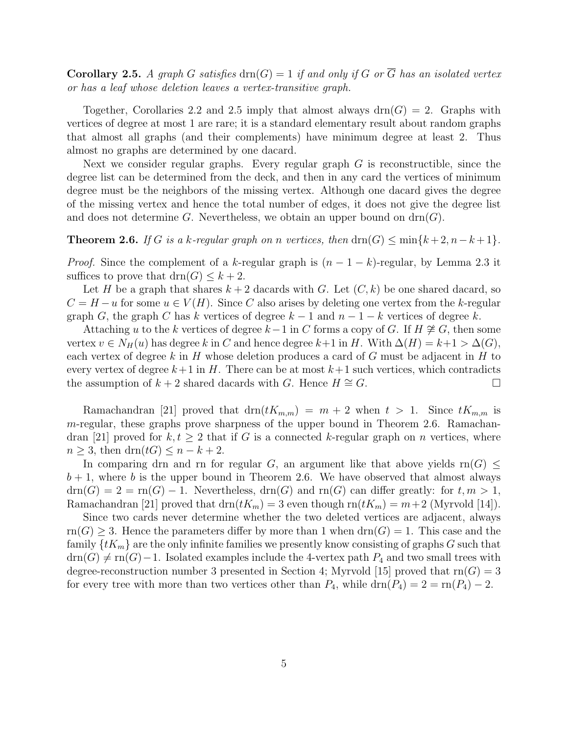**Corollary 2.5.** A graph G satisfies  $\text{dm}(G) = 1$  if and only if G or  $\overline{G}$  has an isolated vertex or has a leaf whose deletion leaves a vertex-transitive graph.

Together, Corollaries 2.2 and 2.5 imply that almost always  $\text{dm}(G) = 2$ . Graphs with vertices of degree at most 1 are rare; it is a standard elementary result about random graphs that almost all graphs (and their complements) have minimum degree at least 2. Thus almost no graphs are determined by one dacard.

Next we consider regular graphs. Every regular graph  $G$  is reconstructible, since the degree list can be determined from the deck, and then in any card the vertices of minimum degree must be the neighbors of the missing vertex. Although one dacard gives the degree of the missing vertex and hence the total number of edges, it does not give the degree list and does not determine G. Nevertheless, we obtain an upper bound on  $\text{drn}(G)$ .

**Theorem 2.6.** If G is a k-regular graph on n vertices, then drn(G) ≤ min{k+2,n-k+1}.

*Proof.* Since the complement of a k-regular graph is  $(n - 1 - k)$ -regular, by Lemma 2.3 it suffices to prove that  $\text{drn}(G) \leq k+2$ .

Let H be a graph that shares  $k+2$  dacards with G. Let  $(C, k)$  be one shared dacard, so  $C = H - u$  for some  $u \in V(H)$ . Since C also arises by deleting one vertex from the k-regular graph G, the graph C has k vertices of degree  $k-1$  and  $n-1-k$  vertices of degree k.

Attaching u to the k vertices of degree  $k-1$  in C forms a copy of G. If  $H \not\cong G$ , then some vertex  $v \in N_H(u)$  has degree k in C and hence degree  $k+1$  in H. With  $\Delta(H) = k+1 > \Delta(G)$ , each vertex of degree k in  $H$  whose deletion produces a card of  $G$  must be adjacent in  $H$  to every vertex of degree  $k+1$  in H. There can be at most  $k+1$  such vertices, which contradicts the assumption of  $k + 2$  shared dacards with G. Hence  $H \cong G$ .

Ramachandran [21] proved that  $\text{drn}(tK_{m,m}) = m + 2$  when  $t > 1$ . Since  $tK_{m,m}$  is m-regular, these graphs prove sharpness of the upper bound in Theorem 2.6. Ramachandran [21] proved for  $k, t \geq 2$  that if G is a connected k-regular graph on n vertices, where  $n \geq 3$ , then drn(tG)  $\leq n - k + 2$ .

In comparing drn and rn for regular G, an argument like that above yields rn(G)  $\leq$  $b + 1$ , where b is the upper bound in Theorem 2.6. We have observed that almost always  $\text{drn}(G) = 2 = \text{rn}(G) - 1$ . Nevertheless,  $\text{drn}(G)$  and  $\text{rn}(G)$  can differ greatly: for  $t, m > 1$ , Ramachandran [21] proved that  $\text{drn}(tK_m) = 3$  even though  $\text{rn}(tK_m) = m+2$  (Myrvold [14]).

Since two cards never determine whether the two deleted vertices are adjacent, always  $\text{rn}(G) \geq 3$ . Hence the parameters differ by more than 1 when  $\text{drn}(G) = 1$ . This case and the family  $\{tK_m\}$  are the only infinite families we presently know consisting of graphs G such that  $\text{drn}(G) \neq \text{rn}(G)-1$ . Isolated examples include the 4-vertex path  $P_4$  and two small trees with degree-reconstruction number 3 presented in Section 4; Myrvold [15] proved that  $rn(G) = 3$ for every tree with more than two vertices other than  $P_4$ , while  $\text{drn}(P_4) = 2 = \text{rn}(P_4) - 2$ .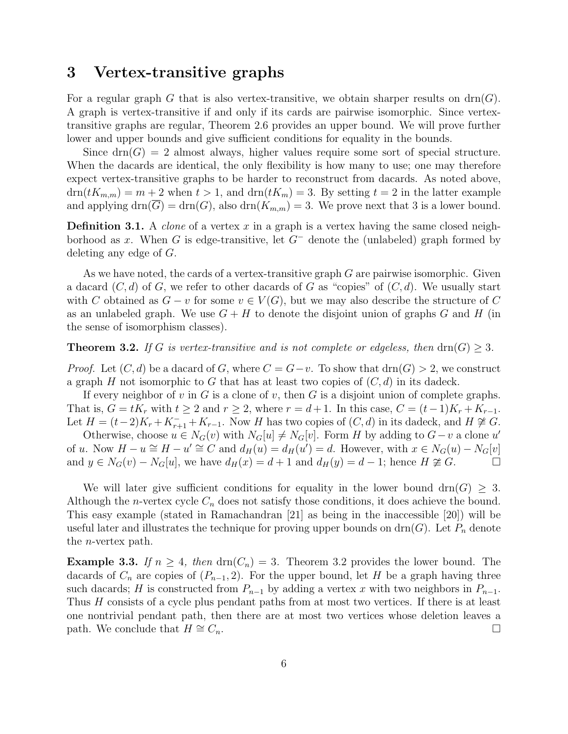## 3 Vertex-transitive graphs

For a regular graph G that is also vertex-transitive, we obtain sharper results on  $\text{drn}(G)$ . A graph is vertex-transitive if and only if its cards are pairwise isomorphic. Since vertextransitive graphs are regular, Theorem 2.6 provides an upper bound. We will prove further lower and upper bounds and give sufficient conditions for equality in the bounds.

Since  $\text{drn}(G) = 2$  almost always, higher values require some sort of special structure. When the dacards are identical, the only flexibility is how many to use; one may therefore expect vertex-transitive graphs to be harder to reconstruct from dacards. As noted above,  $\text{drn}(tK_{m,m}) = m + 2$  when  $t > 1$ , and  $\text{drn}(tK_m) = 3$ . By setting  $t = 2$  in the latter example and applying  $\text{drn}(\overline{G}) = \text{drn}(G)$ , also  $\text{drn}(K_{m,m}) = 3$ . We prove next that 3 is a lower bound.

**Definition 3.1.** A *clone* of a vertex x in a graph is a vertex having the same closed neighborhood as x. When G is edge-transitive, let  $G^-$  denote the (unlabeled) graph formed by deleting any edge of G.

As we have noted, the cards of a vertex-transitive graph  $G$  are pairwise isomorphic. Given a dacard  $(C, d)$  of G, we refer to other dacards of G as "copies" of  $(C, d)$ . We usually start with C obtained as  $G - v$  for some  $v \in V(G)$ , but we may also describe the structure of C as an unlabeled graph. We use  $G + H$  to denote the disjoint union of graphs G and H (in the sense of isomorphism classes).

**Theorem 3.2.** If G is vertex-transitive and is not complete or edgeless, then  $\text{drn}(G) \geq 3$ .

*Proof.* Let  $(C, d)$  be a dacard of G, where  $C = G - v$ . To show that  $drn(G) > 2$ , we construct a graph H not isomorphic to G that has at least two copies of  $(C, d)$  in its dadeck.

If every neighbor of v in G is a clone of v, then G is a disjoint union of complete graphs. That is,  $G = tK_r$  with  $t \geq 2$  and  $r \geq 2$ , where  $r = d+1$ . In this case,  $C = (t-1)K_r + K_{r-1}$ . Let  $H = (t-2)K_r + K_{r+1}^- + K_{r-1}$ . Now H has two copies of  $(C, d)$  in its dadeck, and  $H \not\cong G$ .

Otherwise, choose  $u \in N_G(v)$  with  $N_G[u] \neq N_G[v]$ . Form H by adding to  $G-v$  a clone u' of u. Now  $H - u \cong H - u' \cong C$  and  $d_H(u) = d_H(u') = d$ . However, with  $x \in N_G(u) - N_G[v]$ and  $y \in N_G(v) - N_G[u]$ , we have  $d_H(x) = d + 1$  and  $d_H(y) = d - 1$ ; hence  $H \not\cong G$ .

We will later give sufficient conditions for equality in the lower bound drn( $G$ )  $\geq$  3. Although the *n*-vertex cycle  $C_n$  does not satisfy those conditions, it does achieve the bound. This easy example (stated in Ramachandran [21] as being in the inaccessible [20]) will be useful later and illustrates the technique for proving upper bounds on  $\text{drn}(G)$ . Let  $P_n$  denote the n-vertex path.

**Example 3.3.** If  $n \geq 4$ , then  $\text{drn}(C_n) = 3$ . Theorem 3.2 provides the lower bound. The dacards of  $C_n$  are copies of  $(P_{n-1}, 2)$ . For the upper bound, let H be a graph having three such dacards; H is constructed from  $P_{n-1}$  by adding a vertex x with two neighbors in  $P_{n-1}$ . Thus H consists of a cycle plus pendant paths from at most two vertices. If there is at least one nontrivial pendant path, then there are at most two vertices whose deletion leaves a path. We conclude that  $H \cong C_n$ .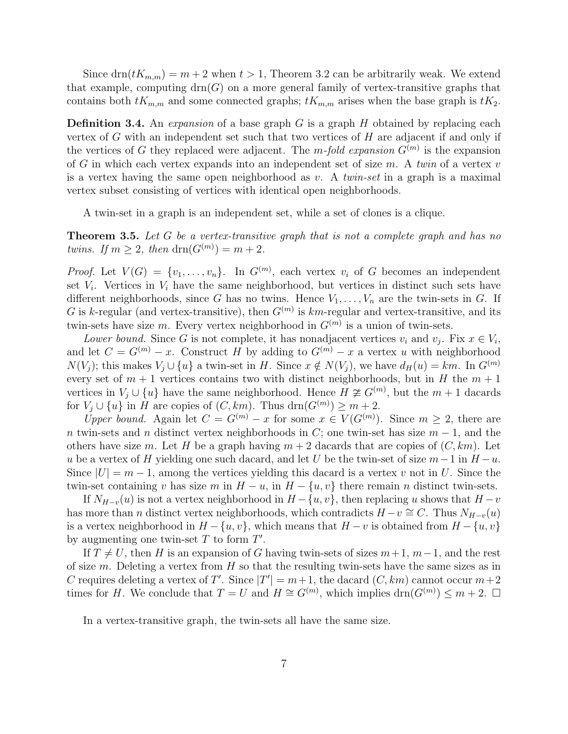Since  $\text{dm}(tK_{m,m}) = m + 2$  when  $t > 1$ , Theorem 3.2 can be arbitrarily weak. We extend that example, computing  $\text{dm}(G)$  on a more general family of vertex-transitive graphs that contains both  $tK_{m,m}$  and some connected graphs;  $tK_{m,m}$  arises when the base graph is  $tK_2$ .

**Definition 3.4.** An *expansion* of a base graph  $G$  is a graph  $H$  obtained by replacing each vertex of  $G$  with an independent set such that two vertices of  $H$  are adjacent if and only if the vertices of G they replaced were adjacent. The m-fold expansion  $G^{(m)}$  is the expansion of G in which each vertex expands into an independent set of size  $m$ . A twin of a vertex  $v$ is a vertex having the same open neighborhood as v. A twin-set in a graph is a maximal vertex subset consisting of vertices with identical open neighborhoods.

A twin-set in a graph is an independent set, while a set of clones is a clique.

Theorem 3.5. Let G be a vertex-transitive graph that is not a complete graph and has no twins. If  $m \geq 2$ , then  $drn(G^{(m)}) = m + 2$ .

*Proof.* Let  $V(G) = \{v_1, \ldots, v_n\}$ . In  $G^{(m)}$ , each vertex  $v_i$  of G becomes an independent set  $V_i$ . Vertices in  $V_i$  have the same neighborhood, but vertices in distinct such sets have different neighborhoods, since G has no twins. Hence  $V_1, \ldots, V_n$  are the twin-sets in G. If G is k-regular (and vertex-transitive), then  $G^{(m)}$  is km-regular and vertex-transitive, and its twin-sets have size m. Every vertex neighborhood in  $G^{(m)}$  is a union of twin-sets.

Lower bound. Since G is not complete, it has nonadjacent vertices  $v_i$  and  $v_j$ . Fix  $x \in V_i$ , and let  $C = G^{(m)} - x$ . Construct H by adding to  $G^{(m)} - x$  a vertex u with neighborhood  $N(V_i)$ ; this makes  $V_i \cup \{u\}$  a twin-set in H. Since  $x \notin N(V_i)$ , we have  $d_H(u) = km$ . In  $G^{(m)}$ every set of  $m + 1$  vertices contains two with distinct neighborhoods, but in H the  $m + 1$ vertices in  $V_j \cup \{u\}$  have the same neighborhood. Hence  $H \not\cong G^{(m)}$ , but the  $m+1$  dacards for  $V_j \cup \{u\}$  in H are copies of  $(C, km)$ . Thus  $drn(G^{(m)}) \ge m+2$ .

Upper bound. Again let  $C = G^{(m)} - x$  for some  $x \in V(G^{(m)})$ . Since  $m \geq 2$ , there are n twin-sets and n distinct vertex neighborhoods in C; one twin-set has size  $m-1$ , and the others have size m. Let H be a graph having  $m + 2$  dacards that are copies of  $(C, km)$ . Let u be a vertex of H yielding one such dacard, and let U be the twin-set of size  $m-1$  in  $H-u$ . Since  $|U| = m - 1$ , among the vertices yielding this dacard is a vertex v not in U. Since the twin-set containing v has size m in  $H - u$ , in  $H - \{u, v\}$  there remain n distinct twin-sets.

If  $N_{H-v}(u)$  is not a vertex neighborhood in  $H - \{u, v\}$ , then replacing u shows that  $H - v$ has more than n distinct vertex neighborhoods, which contradicts  $H - v \cong C$ . Thus  $N_{H-v}(u)$ is a vertex neighborhood in  $H - \{u, v\}$ , which means that  $H - v$  is obtained from  $H - \{u, v\}$ by augmenting one twin-set  $T$  to form  $T'$ .

If  $T \neq U$ , then H is an expansion of G having twin-sets of sizes  $m+1$ ,  $m-1$ , and the rest of size m. Deleting a vertex from  $H$  so that the resulting twin-sets have the same sizes as in C requires deleting a vertex of T'. Since  $|T'| = m+1$ , the dacard  $(C, km)$  cannot occur  $m+2$ times for H. We conclude that  $T = U$  and  $H \cong G^{(m)}$ , which implies  $\text{drn}(G^{(m)}) \leq m + 2$ .  $\Box$ 

In a vertex-transitive graph, the twin-sets all have the same size.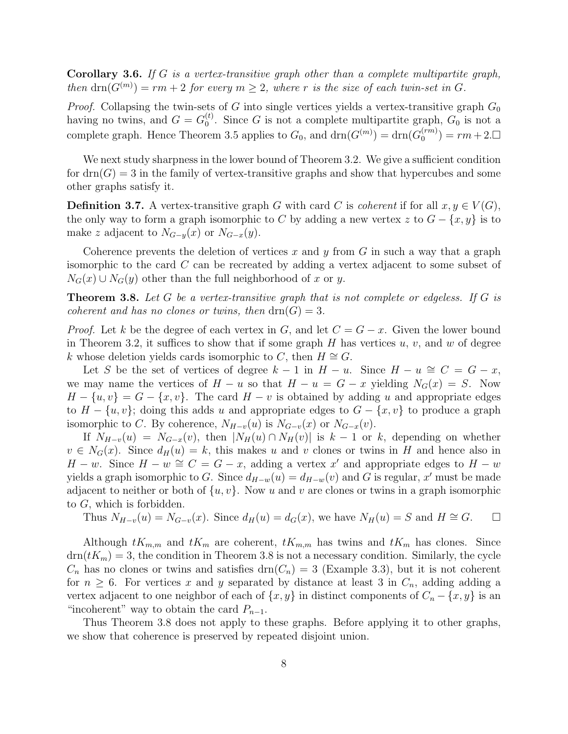**Corollary 3.6.** If G is a vertex-transitive graph other than a complete multipartite graph, then  $\text{drn}(G^{(m)}) = rm + 2$  for every  $m \geq 2$ , where r is the size of each twin-set in G.

*Proof.* Collapsing the twin-sets of G into single vertices yields a vertex-transitive graph  $G_0$ having no twins, and  $G = G_0^{(t)}$  $\binom{U}{0}$ . Since G is not a complete multipartite graph,  $G_0$  is not a complete graph. Hence Theorem 3.5 applies to  $G_0$ , and  $\text{drn}(G^{(m)}) = \text{drn}(G_0^{(rm)})$  $\binom{(rm)}{0}$  =  $rm+2. \square$ 

We next study sharpness in the lower bound of Theorem 3.2. We give a sufficient condition for  $\text{drn}(G) = 3$  in the family of vertex-transitive graphs and show that hypercubes and some other graphs satisfy it.

**Definition 3.7.** A vertex-transitive graph G with card C is *coherent* if for all  $x, y \in V(G)$ , the only way to form a graph isomorphic to C by adding a new vertex z to  $G - \{x, y\}$  is to make z adjacent to  $N_{G-y}(x)$  or  $N_{G-x}(y)$ .

Coherence prevents the deletion of vertices x and y from  $G$  in such a way that a graph isomorphic to the card C can be recreated by adding a vertex adjacent to some subset of  $N_G(x) \cup N_G(y)$  other than the full neighborhood of x or y.

**Theorem 3.8.** Let G be a vertex-transitive graph that is not complete or edgeless. If G is coherent and has no clones or twins, then  $dr(n) = 3$ .

*Proof.* Let k be the degree of each vertex in G, and let  $C = G - x$ . Given the lower bound in Theorem 3.2, it suffices to show that if some graph H has vertices  $u, v$ , and  $w$  of degree k whose deletion yields cards isomorphic to C, then  $H \cong G$ .

Let S be the set of vertices of degree  $k-1$  in  $H-u$ . Since  $H-u \cong C = G - x$ , we may name the vertices of  $H - u$  so that  $H - u = G - x$  yielding  $N_G(x) = S$ . Now  $H - \{u, v\} = G - \{x, v\}.$  The card  $H - v$  is obtained by adding u and appropriate edges to  $H - \{u, v\}$ ; doing this adds u and appropriate edges to  $G - \{x, v\}$  to produce a graph isomorphic to C. By coherence,  $N_{H-v}(u)$  is  $N_{G-v}(x)$  or  $N_{G-x}(v)$ .

If  $N_{H-v}(u) = N_{G-v}(v)$ , then  $|N_H(u) \cap N_H(v)|$  is  $k-1$  or k, depending on whether  $v \in N_G(x)$ . Since  $d_H(u) = k$ , this makes u and v clones or twins in H and hence also in  $H - w$ . Since  $H - w \cong C = G - x$ , adding a vertex x' and appropriate edges to  $H - w$ yields a graph isomorphic to G. Since  $d_{H-w}(u) = d_{H-w}(v)$  and G is regular, x' must be made adjacent to neither or both of  $\{u, v\}$ . Now u and v are clones or twins in a graph isomorphic to G, which is forbidden.

Thus 
$$
N_{H-v}(u) = N_{G-v}(x)
$$
. Since  $d_H(u) = d_G(x)$ , we have  $N_H(u) = S$  and  $H \cong G$ .  $\square$ 

Although  $tK_{m,m}$  and  $tK_m$  are coherent,  $tK_{m,m}$  has twins and  $tK_m$  has clones. Since  $dr \, dr = 3$ , the condition in Theorem 3.8 is not a necessary condition. Similarly, the cycle  $C_n$  has no clones or twins and satisfies  $\text{drn}(C_n) = 3$  (Example 3.3), but it is not coherent for  $n \geq 6$ . For vertices x and y separated by distance at least 3 in  $C_n$ , adding adding a vertex adjacent to one neighbor of each of  $\{x, y\}$  in distinct components of  $C_n - \{x, y\}$  is an "incoherent" way to obtain the card  $P_{n-1}$ .

Thus Theorem 3.8 does not apply to these graphs. Before applying it to other graphs, we show that coherence is preserved by repeated disjoint union.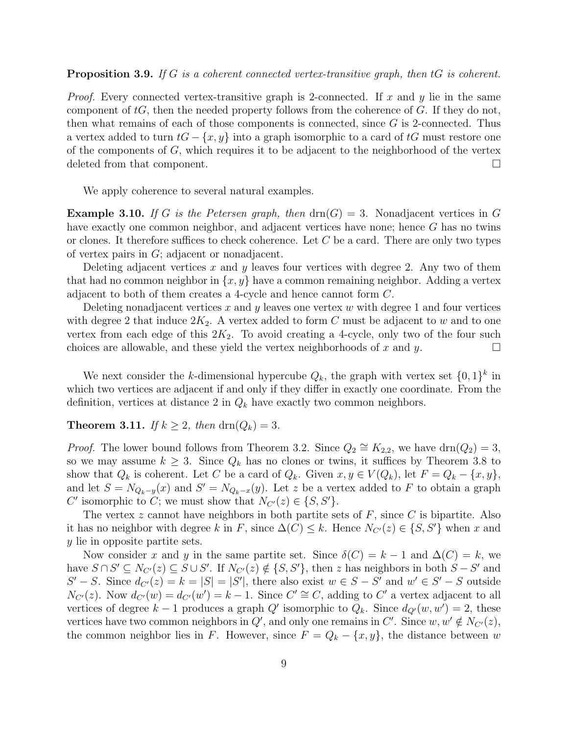#### Proposition 3.9. If G is a coherent connected vertex-transitive graph, then tG is coherent.

*Proof.* Every connected vertex-transitive graph is 2-connected. If x and y lie in the same component of  $tG$ , then the needed property follows from the coherence of  $G$ . If they do not, then what remains of each of those components is connected, since  $G$  is 2-connected. Thus a vertex added to turn  $tG - \{x, y\}$  into a graph isomorphic to a card of tG must restore one of the components of  $G$ , which requires it to be adjacent to the neighborhood of the vertex deleted from that component.

We apply coherence to several natural examples.

**Example 3.10.** If G is the Petersen graph, then  $\text{drn}(G) = 3$ . Nonadjacent vertices in G have exactly one common neighbor, and adjacent vertices have none; hence G has no twins or clones. It therefore suffices to check coherence. Let  $C$  be a card. There are only two types of vertex pairs in G; adjacent or nonadjacent.

Deleting adjacent vertices x and y leaves four vertices with degree 2. Any two of them that had no common neighbor in  $\{x, y\}$  have a common remaining neighbor. Adding a vertex adjacent to both of them creates a 4-cycle and hence cannot form C.

Deleting nonadjacent vertices x and y leaves one vertex w with degree 1 and four vertices with degree 2 that induce  $2K_2$ . A vertex added to form C must be adjacent to w and to one vertex from each edge of this  $2K_2$ . To avoid creating a 4-cycle, only two of the four such choices are allowable, and these yield the vertex neighborhoods of x and y.  $\square$ 

We next consider the k-dimensional hypercube  $Q_k$ , the graph with vertex set  $\{0,1\}^k$  in which two vertices are adjacent if and only if they differ in exactly one coordinate. From the definition, vertices at distance 2 in  $Q_k$  have exactly two common neighbors.

#### **Theorem 3.11.** If  $k \geq 2$ , then  $\text{drn}(Q_k) = 3$ .

*Proof.* The lower bound follows from Theorem 3.2. Since  $Q_2 \cong K_{2,2}$ , we have  $\text{drn}(Q_2) = 3$ , so we may assume  $k \geq 3$ . Since  $Q_k$  has no clones or twins, it suffices by Theorem 3.8 to show that  $Q_k$  is coherent. Let C be a card of  $Q_k$ . Given  $x, y \in V(Q_k)$ , let  $F = Q_k - \{x, y\}$ , and let  $S = N_{Q_k-y}(x)$  and  $S' = N_{Q_k-x}(y)$ . Let z be a vertex added to F to obtain a graph C' isomorphic to C; we must show that  $N_{C'}(z) \in \{S, S'\}.$ 

The vertex z cannot have neighbors in both partite sets of  $F$ , since  $C$  is bipartite. Also it has no neighbor with degree k in F, since  $\Delta(C) \leq k$ . Hence  $N_{C'}(z) \in \{S, S'\}$  when x and y lie in opposite partite sets.

Now consider x and y in the same partite set. Since  $\delta(C) = k - 1$  and  $\Delta(C) = k$ , we have  $S \cap S' \subseteq N_{C'}(z) \subseteq S \cup S'$ . If  $N_{C'}(z) \notin \{S, S'\}$ , then z has neighbors in both  $S - S'$  and  $S' - S$ . Since  $d_{C'}(z) = k = |S| = |S'|$ , there also exist  $w \in S - S'$  and  $w' \in S' - S$  outside  $N_{C'}(z)$ . Now  $d_{C'}(w) = d_{C'}(w') = k - 1$ . Since  $C' \cong C$ , adding to  $C'$  a vertex adjacent to all vertices of degree  $k-1$  produces a graph  $Q'$  isomorphic to  $\tilde{Q}_k$ . Since  $d_{Q'}(w, w') = 2$ , these vertices have two common neighbors in  $Q'$ , and only one remains in C'. Since  $w, w' \notin N_{C'}(z)$ , the common neighbor lies in F. However, since  $F = Q_k - \{x, y\}$ , the distance between w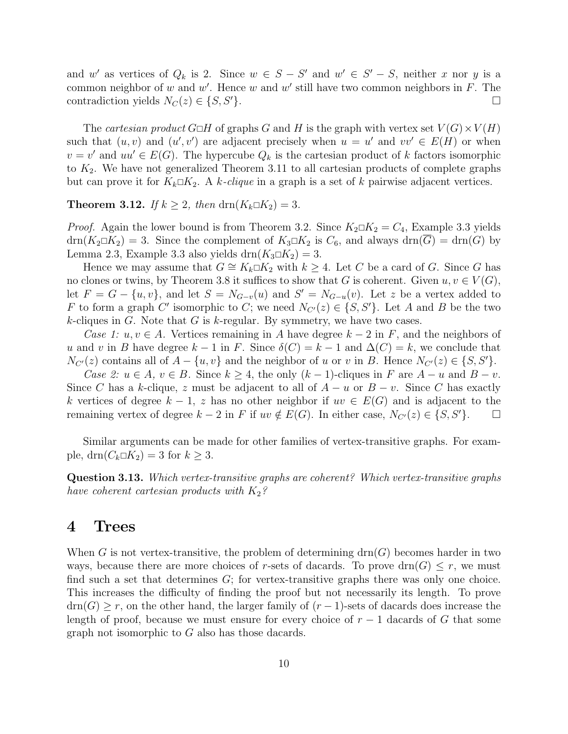and w' as vertices of  $Q_k$  is 2. Since  $w \in S - S'$  and  $w' \in S' - S$ , neither x nor y is a common neighbor of w and w'. Hence w and w' still have two common neighbors in  $F$ . The contradiction yields  $N_C(z) \in \{S, S'\}.$ 

The cartesian product  $G \Box H$  of graphs G and H is the graph with vertex set  $V(G) \times V(H)$ such that  $(u, v)$  and  $(u', v')$  are adjacent precisely when  $u = u'$  and  $vv' \in E(H)$  or when  $v = v'$  and  $uu' \in E(G)$ . The hypercube  $Q_k$  is the cartesian product of k factors isomorphic to  $K_2$ . We have not generalized Theorem 3.11 to all cartesian products of complete graphs but can prove it for  $K_k \Box K_2$ . A k-clique in a graph is a set of k pairwise adjacent vertices.

#### **Theorem 3.12.** If  $k \geq 2$ , then drn $(K_k \square K_2) = 3$ .

*Proof.* Again the lower bound is from Theorem 3.2. Since  $K_2 \Box K_2 = C_4$ , Example 3.3 yields  $\text{drn}(K_2 \Box K_2) = 3$ . Since the complement of  $K_3 \Box K_2$  is  $C_6$ , and always  $\text{drn}(G) = \text{drn}(G)$  by Lemma 2.3, Example 3.3 also yields  $\text{drn}(K_3 \square K_2) = 3$ .

Hence we may assume that  $G \cong K_k \square K_2$  with  $k \geq 4$ . Let C be a card of G. Since G has no clones or twins, by Theorem 3.8 it suffices to show that G is coherent. Given  $u, v \in V(G)$ , let  $F = G - \{u, v\}$ , and let  $S = N_{G-v}(u)$  and  $S' = N_{G-u}(v)$ . Let z be a vertex added to F to form a graph C' isomorphic to C; we need  $N_{C'}(z) \in \{S, S'\}$ . Let A and B be the two k-cliques in  $G$ . Note that  $G$  is k-regular. By symmetry, we have two cases.

Case 1:  $u, v \in A$ . Vertices remaining in A have degree  $k-2$  in F, and the neighbors of u and v in B have degree  $k-1$  in F. Since  $\delta(C) = k-1$  and  $\Delta(C) = k$ , we conclude that  $N_{C'}(z)$  contains all of  $A - \{u, v\}$  and the neighbor of u or v in B. Hence  $N_{C'}(z) \in \{S, S'\}.$ 

Case 2:  $u \in A$ ,  $v \in B$ . Since  $k \geq 4$ , the only  $(k-1)$ -cliques in F are  $A - u$  and  $B - v$ . Since C has a k-clique, z must be adjacent to all of  $A - u$  or  $B - v$ . Since C has exactly k vertices of degree  $k-1$ , z has no other neighbor if  $uv \in E(G)$  and is adjacent to the remaining vertex of degree  $k-2$  in F if  $uv \notin E(G)$ . In either case,  $N_{C'}(z) \in \{S, S'\}.$  □

Similar arguments can be made for other families of vertex-transitive graphs. For example,  $\text{drn}(C_k \Box K_2) = 3$  for  $k \geq 3$ .

Question 3.13. Which vertex-transitive graphs are coherent? Which vertex-transitive graphs have coherent cartesian products with  $K_2$ ?

### 4 Trees

When G is not vertex-transitive, the problem of determining  $\text{drn}(G)$  becomes harder in two ways, because there are more choices of r-sets of dacards. To prove drn( $G$ )  $\leq r$ , we must find such a set that determines  $G$ ; for vertex-transitive graphs there was only one choice. This increases the difficulty of finding the proof but not necessarily its length. To prove  $\text{dm}(G) \geq r$ , on the other hand, the larger family of  $(r-1)$ -sets of dacards does increase the length of proof, because we must ensure for every choice of  $r-1$  dacards of G that some graph not isomorphic to G also has those dacards.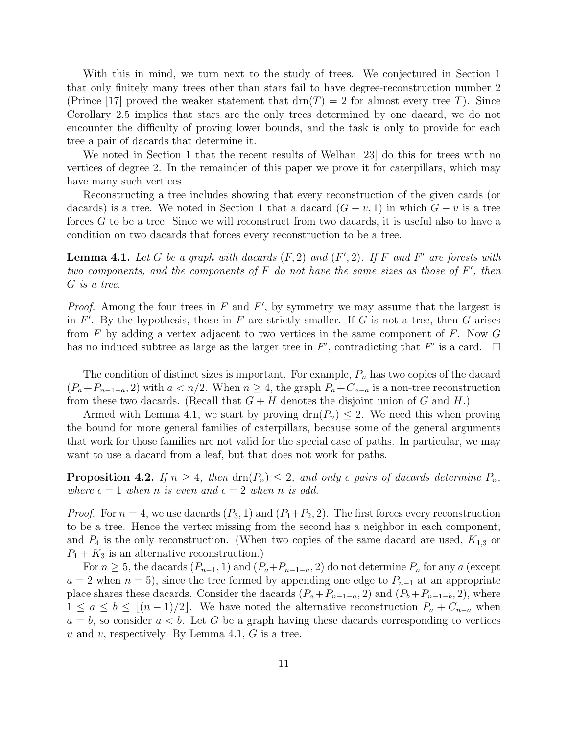With this in mind, we turn next to the study of trees. We conjectured in Section 1 that only finitely many trees other than stars fail to have degree-reconstruction number 2 (Prince [17] proved the weaker statement that  $\text{drn}(T) = 2$  for almost every tree T). Since Corollary 2.5 implies that stars are the only trees determined by one dacard, we do not encounter the difficulty of proving lower bounds, and the task is only to provide for each tree a pair of dacards that determine it.

We noted in Section 1 that the recent results of Welhan [23] do this for trees with no vertices of degree 2. In the remainder of this paper we prove it for caterpillars, which may have many such vertices.

Reconstructing a tree includes showing that every reconstruction of the given cards (or dacards) is a tree. We noted in Section 1 that a dacard  $(G - v, 1)$  in which  $G - v$  is a tree forces G to be a tree. Since we will reconstruct from two dacards, it is useful also to have a condition on two dacards that forces every reconstruction to be a tree.

**Lemma 4.1.** Let G be a graph with dacards  $(F, 2)$  and  $(F', 2)$ . If F and F' are forests with two components, and the components of  $F$  do not have the same sizes as those of  $F'$ , then G is a tree.

*Proof.* Among the four trees in  $F$  and  $F'$ , by symmetry we may assume that the largest is in  $F'$ . By the hypothesis, those in  $F$  are strictly smaller. If  $G$  is not a tree, then  $G$  arises from  $F$  by adding a vertex adjacent to two vertices in the same component of  $F$ . Now  $G$ has no induced subtree as large as the larger tree in  $F'$ , contradicting that  $F'$  is a card.  $\Box$ 

The condition of distinct sizes is important. For example,  $P_n$  has two copies of the dacard  $(P_a+P_{n-1-a}, 2)$  with  $a < n/2$ . When  $n \geq 4$ , the graph  $P_a+C_{n-a}$  is a non-tree reconstruction from these two dacards. (Recall that  $G + H$  denotes the disjoint union of G and H.)

Armed with Lemma 4.1, we start by proving  $\text{drn}(P_n) \leq 2$ . We need this when proving the bound for more general families of caterpillars, because some of the general arguments that work for those families are not valid for the special case of paths. In particular, we may want to use a dacard from a leaf, but that does not work for paths.

**Proposition 4.2.** If  $n \geq 4$ , then  $\text{dm}(P_n) \leq 2$ , and only  $\epsilon$  pairs of dacards determine  $P_n$ , where  $\epsilon = 1$  when n is even and  $\epsilon = 2$  when n is odd.

*Proof.* For  $n = 4$ , we use dacards  $(P_3, 1)$  and  $(P_1 + P_2, 2)$ . The first forces every reconstruction to be a tree. Hence the vertex missing from the second has a neighbor in each component, and  $P_4$  is the only reconstruction. (When two copies of the same dacard are used,  $K_{1,3}$  or  $P_1 + K_3$  is an alternative reconstruction.)

For  $n \geq 5$ , the dacards  $(P_{n-1}, 1)$  and  $(P_a + P_{n-1-a}, 2)$  do not determine  $P_n$  for any a (except  $a = 2$  when  $n = 5$ ), since the tree formed by appending one edge to  $P_{n-1}$  at an appropriate place shares these dacards. Consider the dacards  $(P_a+P_{n-1-a}, 2)$  and  $(P_b+P_{n-1-b}, 2)$ , where  $1 \le a \le b \le \lfloor (n-1)/2 \rfloor$ . We have noted the alternative reconstruction  $P_a + C_{n-a}$  when  $a = b$ , so consider  $a < b$ . Let G be a graph having these dacards corresponding to vertices u and v, respectively. By Lemma 4.1,  $G$  is a tree.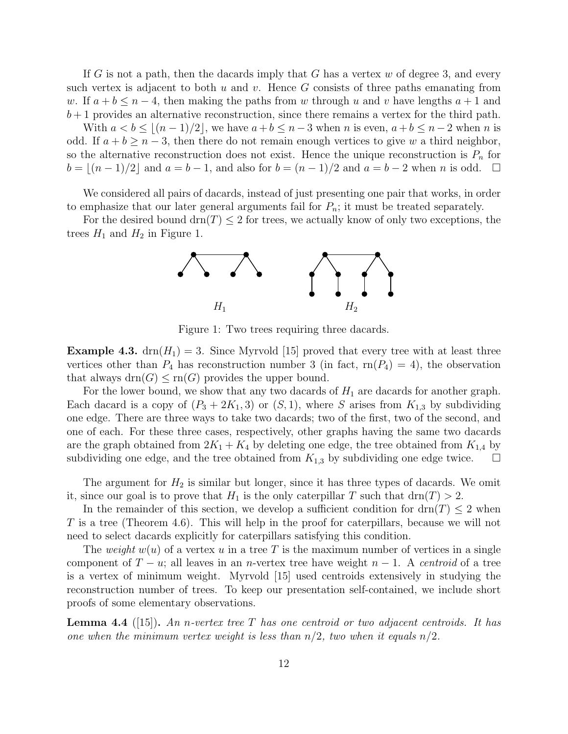If G is not a path, then the dacards imply that G has a vertex w of degree 3, and every such vertex is adjacent to both  $u$  and  $v$ . Hence  $G$  consists of three paths emanating from w. If  $a + b \leq n - 4$ , then making the paths from w through u and v have lengths  $a + 1$  and  $b+1$  provides an alternative reconstruction, since there remains a vertex for the third path.

With  $a < b \leq \lfloor (n-1)/2 \rfloor$ , we have  $a + b \leq n-3$  when n is even,  $a + b \leq n-2$  when n is odd. If  $a + b \geq n - 3$ , then there do not remain enough vertices to give w a third neighbor, so the alternative reconstruction does not exist. Hence the unique reconstruction is  $P_n$  for  $b = |(n-1)/2|$  and  $a = b-1$ , and also for  $b = (n-1)/2$  and  $a = b-2$  when n is odd.  $\square$ 

We considered all pairs of dacards, instead of just presenting one pair that works, in order to emphasize that our later general arguments fail for  $P_n$ ; it must be treated separately.

For the desired bound  $\text{dm}(T) \leq 2$  for trees, we actually know of only two exceptions, the trees  $H_1$  and  $H_2$  in Figure 1.



Figure 1: Two trees requiring three dacards.

**Example 4.3.**  $\text{drn}(H_1) = 3$ . Since Myrvold [15] proved that every tree with at least three vertices other than  $P_4$  has reconstruction number 3 (in fact,  $rn(P_4) = 4$ ), the observation that always  $\text{drn}(G) \leq \text{rn}(G)$  provides the upper bound.

For the lower bound, we show that any two dacards of  $H_1$  are dacards for another graph. Each dacard is a copy of  $(P_3 + 2K_1, 3)$  or  $(S, 1)$ , where S arises from  $K_{1,3}$  by subdividing one edge. There are three ways to take two dacards; two of the first, two of the second, and one of each. For these three cases, respectively, other graphs having the same two dacards are the graph obtained from  $2K_1 + K_4$  by deleting one edge, the tree obtained from  $K_{1,4}$  by subdividing one edge, and the tree obtained from  $K_{1,3}$  by subdividing one edge twice.  $\Box$ 

The argument for  $H_2$  is similar but longer, since it has three types of dacards. We omit it, since our goal is to prove that  $H_1$  is the only caterpillar T such that  $\text{drn}(T) > 2$ .

In the remainder of this section, we develop a sufficient condition for  $\text{drn}(T) \leq 2$  when T is a tree (Theorem 4.6). This will help in the proof for caterpillars, because we will not need to select dacards explicitly for caterpillars satisfying this condition.

The weight  $w(u)$  of a vertex u in a tree T is the maximum number of vertices in a single component of  $T - u$ ; all leaves in an n-vertex tree have weight  $n - 1$ . A centroid of a tree is a vertex of minimum weight. Myrvold [15] used centroids extensively in studying the reconstruction number of trees. To keep our presentation self-contained, we include short proofs of some elementary observations.

**Lemma 4.4** ([15]). An n-vertex tree T has one centroid or two adjacent centroids. It has one when the minimum vertex weight is less than  $n/2$ , two when it equals  $n/2$ .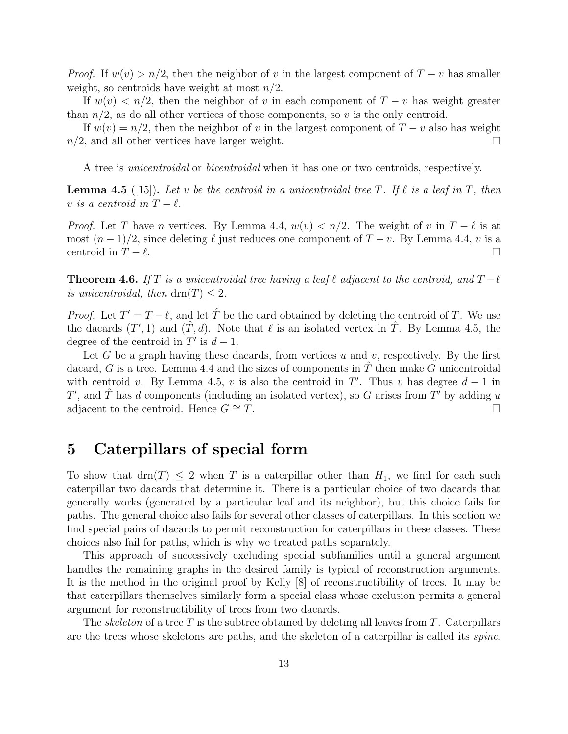*Proof.* If  $w(v) > n/2$ , then the neighbor of v in the largest component of  $T - v$  has smaller weight, so centroids have weight at most  $n/2$ .

If  $w(v) < n/2$ , then the neighbor of v in each component of  $T - v$  has weight greater than  $n/2$ , as do all other vertices of those components, so v is the only centroid.

If  $w(v) = n/2$ , then the neighbor of v in the largest component of  $T - v$  also has weight  $n/2$ , and all other vertices have larger weight.

A tree is *unicentroidal* or *bicentroidal* when it has one or two centroids, respectively.

**Lemma 4.5** ([15]). Let v be the centroid in a unicentroidal tree T. If  $\ell$  is a leaf in T, then v is a centroid in  $T - \ell$ .

*Proof.* Let T have n vertices. By Lemma 4.4,  $w(v) < n/2$ . The weight of v in  $T - \ell$  is at most  $(n-1)/2$ , since deleting  $\ell$  just reduces one component of  $T - v$ . By Lemma 4.4, v is a centroid in  $T - \ell$ .

**Theorem 4.6.** If T is a unicentroidal tree having a leaf  $\ell$  adjacent to the centroid, and  $T - \ell$ is unicentroidal, then  $\text{drn}(T) \leq 2$ .

*Proof.* Let  $T' = T - \ell$ , and let  $\hat{T}$  be the card obtained by deleting the centroid of T. We use the dacards  $(T', 1)$  and  $(\hat{T}, d)$ . Note that  $\ell$  is an isolated vertex in  $\hat{T}$ . By Lemma 4.5, the degree of the centroid in  $T'$  is  $d-1$ .

Let G be a graph having these dacards, from vertices  $u$  and  $v$ , respectively. By the first dacard, G is a tree. Lemma 4.4 and the sizes of components in  $\hat{T}$  then make G unicentroidal with centroid v. By Lemma 4.5, v is also the centroid in  $T'$ . Thus v has degree  $d-1$  in T', and  $\hat{T}$  has d components (including an isolated vertex), so G arises from T' by adding u adjacent to the centroid. Hence  $G \cong T$ .

## 5 Caterpillars of special form

To show that drn(T)  $\leq$  2 when T is a caterpillar other than  $H_1$ , we find for each such caterpillar two dacards that determine it. There is a particular choice of two dacards that generally works (generated by a particular leaf and its neighbor), but this choice fails for paths. The general choice also fails for several other classes of caterpillars. In this section we find special pairs of dacards to permit reconstruction for caterpillars in these classes. These choices also fail for paths, which is why we treated paths separately.

This approach of successively excluding special subfamilies until a general argument handles the remaining graphs in the desired family is typical of reconstruction arguments. It is the method in the original proof by Kelly [8] of reconstructibility of trees. It may be that caterpillars themselves similarly form a special class whose exclusion permits a general argument for reconstructibility of trees from two dacards.

The *skeleton* of a tree T is the subtree obtained by deleting all leaves from T. Caterpillars are the trees whose skeletons are paths, and the skeleton of a caterpillar is called its spine.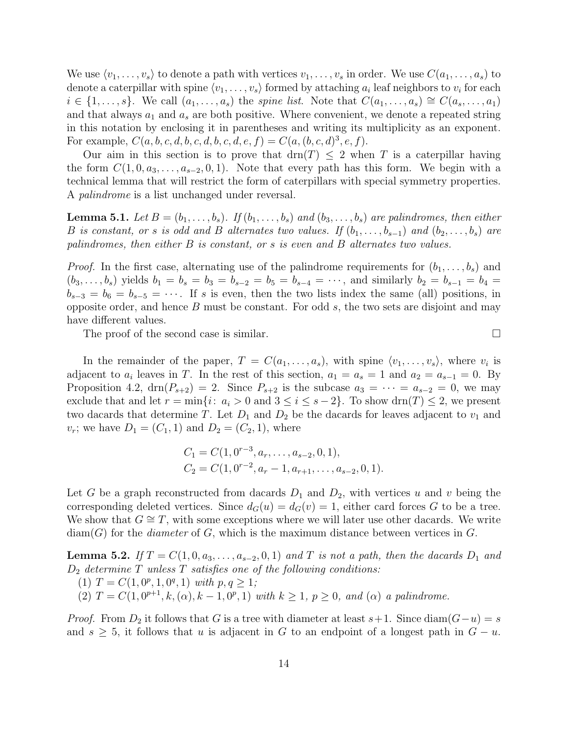We use  $\langle v_1, \ldots, v_s \rangle$  to denote a path with vertices  $v_1, \ldots, v_s$  in order. We use  $C(a_1, \ldots, a_s)$  to denote a caterpillar with spine  $\langle v_1, \ldots, v_s \rangle$  formed by attaching  $a_i$  leaf neighbors to  $v_i$  for each  $i \in \{1, \ldots, s\}$ . We call  $(a_1, \ldots, a_s)$  the spine list. Note that  $C(a_1, \ldots, a_s) \cong C(a_s, \ldots, a_1)$ and that always  $a_1$  and  $a_s$  are both positive. Where convenient, we denote a repeated string in this notation by enclosing it in parentheses and writing its multiplicity as an exponent. For example,  $C(a, b, c, d, b, c, d, b, c, d, e, f) = C(a, (b, c, d)^3, e, f)$ .

Our aim in this section is to prove that  $\text{drn}(T) \leq 2$  when T is a caterpillar having the form  $C(1, 0, a_3, \ldots, a_{s-2}, 0, 1)$ . Note that every path has this form. We begin with a technical lemma that will restrict the form of caterpillars with special symmetry properties. A palindrome is a list unchanged under reversal.

**Lemma 5.1.** Let  $B = (b_1, \ldots, b_s)$ . If  $(b_1, \ldots, b_s)$  and  $(b_3, \ldots, b_s)$  are palindromes, then either B is constant, or s is odd and B alternates two values. If  $(b_1, \ldots, b_{s-1})$  and  $(b_2, \ldots, b_s)$  are palindromes, then either B is constant, or s is even and B alternates two values.

*Proof.* In the first case, alternating use of the palindrome requirements for  $(b_1, \ldots, b_s)$  and  $(b_3, \ldots, b_s)$  yields  $b_1 = b_s = b_3 = b_{s-2} = b_5 = b_{s-4} = \cdots$ , and similarly  $b_2 = b_{s-1} = b_4 = b_6$  $b_{s-3} = b_6 = b_{s-5} = \cdots$ . If s is even, then the two lists index the same (all) positions, in opposite order, and hence  $B$  must be constant. For odd  $s$ , the two sets are disjoint and may have different values.

The proof of the second case is similar.

In the remainder of the paper,  $T = C(a_1, \ldots, a_s)$ , with spine  $\langle v_1, \ldots, v_s \rangle$ , where  $v_i$  is adjacent to  $a_i$  leaves in T. In the rest of this section,  $a_1 = a_s = 1$  and  $a_2 = a_{s-1} = 0$ . By Proposition 4.2,  $\text{drn}(P_{s+2}) = 2$ . Since  $P_{s+2}$  is the subcase  $a_3 = \cdots = a_{s-2} = 0$ , we may

exclude that and let  $r = \min\{i: a_i > 0 \text{ and } 3 \le i \le s - 2\}$ . To show  $\dim(T) \le 2$ , we present two dacards that determine T. Let  $D_1$  and  $D_2$  be the dacards for leaves adjacent to  $v_1$  and  $v_r$ ; we have  $D_1 = (C_1, 1)$  and  $D_2 = (C_2, 1)$ , where

$$
C_1 = C(1, 0^{r-3}, a_r, \dots, a_{s-2}, 0, 1),
$$
  
\n
$$
C_2 = C(1, 0^{r-2}, a_r - 1, a_{r+1}, \dots, a_{s-2}, 0, 1).
$$

Let G be a graph reconstructed from dacards  $D_1$  and  $D_2$ , with vertices u and v being the corresponding deleted vertices. Since  $d_G(u) = d_G(v) = 1$ , either card forces G to be a tree. We show that  $G \cong T$ , with some exceptions where we will later use other dacards. We write  $diam(G)$  for the *diameter* of G, which is the maximum distance between vertices in G.

**Lemma 5.2.** If  $T = C(1, 0, a_3, \ldots, a_{s-2}, 0, 1)$  and T is not a path, then the dacards  $D_1$  and  $D_2$  determine T unless T satisfies one of the following conditions:

(1)  $T = C(1, 0^p, 1, 0^q, 1)$  with  $p, q \ge 1$ ;

(2)  $T = C(1, 0^{p+1}, k, (\alpha), k-1, 0^p, 1)$  with  $k \ge 1$ ,  $p \ge 0$ , and ( $\alpha$ ) a palindrome.

*Proof.* From  $D_2$  it follows that G is a tree with diameter at least  $s+1$ . Since diam( $G-u$ ) = s and  $s \geq 5$ , it follows that u is adjacent in G to an endpoint of a longest path in  $G - u$ .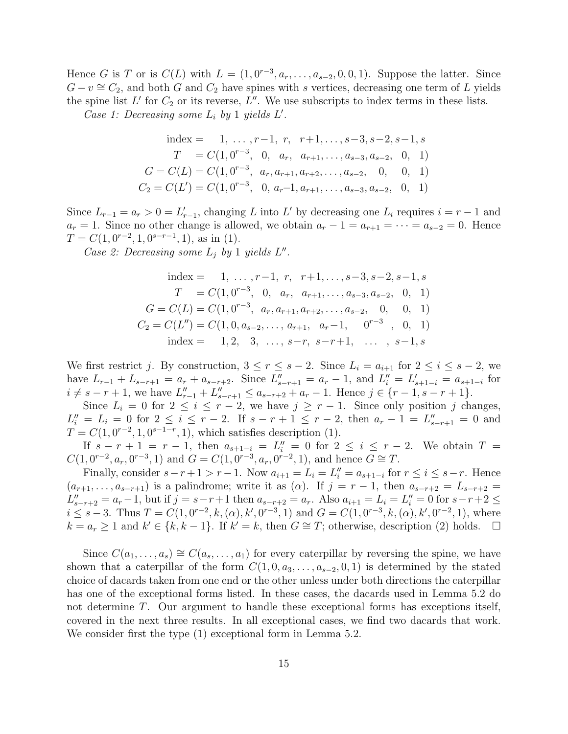Hence G is T or is  $C(L)$  with  $L = (1, 0^{r-3}, a_r, \ldots, a_{s-2}, 0, 0, 1)$ . Suppose the latter. Since  $G - v \cong C_2$ , and both G and  $C_2$  have spines with s vertices, decreasing one term of L yields the spine list  $L'$  for  $C_2$  or its reverse,  $L''$ . We use subscripts to index terms in these lists.

Case 1: Decreasing some  $L_i$  by 1 yields  $L'$ .

index = 1, ..., 
$$
r-1
$$
,  $r$ ,  $r+1$ , ...,  $s-3$ ,  $s-2$ ,  $s-1$ ,  $s$   
\n $T = C(1, 0^{r-3}, 0, a_r, a_{r+1},..., a_{s-3}, a_{s-2}, 0, 1)$   
\n $G = C(L) = C(1, 0^{r-3}, a_r, a_{r+1}, a_{r+2},..., a_{s-2}, 0, 0, 1)$   
\n $C_2 = C(L') = C(1, 0^{r-3}, 0, a_r-1, a_{r+1},..., a_{s-3}, a_{s-2}, 0, 1)$ 

Since  $L_{r-1} = a_r > 0 = L'_{r-1}$ , changing L into L' by decreasing one  $L_i$  requires  $i = r-1$  and  $a_r = 1$ . Since no other change is allowed, we obtain  $a_r - 1 = a_{r+1} = \cdots = a_{s-2} = 0$ . Hence  $T = C(1, 0^{r-2}, 1, 0^{s-r-1}, 1),$  as in (1).

Case 2: Decreasing some  $L_j$  by 1 yields  $L''$ .

index = 1, . . . , r−1, r, r+1, . . . , s−3, s−2, s−1, s T = C(1, 0 r−3 , 0, ar, ar+1, . . . , as−3, as−2, 0, 1) G = C(L) = C(1, 0 r−3 , ar, ar+1, ar+2, . . . , as−2, 0, 0, 1) C<sup>2</sup> = C(L ′′) = C(1, 0, as−2, . . . , ar+1, ar−1, 0 r−3 , 0, 1) index = 1, 2, 3, . . . , s−r, s−r+1, . . . , s−1, s

We first restrict j. By construction,  $3 \leq r \leq s - 2$ . Since  $L_i = a_{i+1}$  for  $2 \leq i \leq s - 2$ , we have  $L_{r-1} + L_{s-r+1} = a_r + a_{s-r+2}$ . Since  $L''_{s-r+1} = a_r - 1$ , and  $L''_i = L'_{s+1-i} = a_{s+1-i}$  for  $i \neq s-r+1$ , we have  $L''_{r-1} + L''_{s-r+1} \le a_{s-r+2} + a_r - 1$ . Hence  $j \in \{r-1, s-r+1\}$ .

Since  $L_i = 0$  for  $2 \le i \le r - 2$ , we have  $j \ge r - 1$ . Since only position j changes,  $L''_i = L_i = 0$  for  $2 \le i \le r - 2$ . If  $s - r + 1 \le r - 2$ , then  $a_r - 1 = L''_{s - r + 1} = 0$  and  $T = C(1, 0^{r-2}, 1, 0^{s-1-r}, 1)$ , which satisfies description (1).

If  $s - r + 1 = r - 1$ , then  $a_{s+1-i} = L''_i = 0$  for  $2 \le i \le r - 2$ . We obtain  $T =$  $C(1, 0^{r-2}, a_r, 0^{r-3}, 1)$  and  $G = C(1, 0^{r-3}, a_r, 0^{r-2}, 1)$ , and hence  $G \cong T$ .

Finally, consider  $s-r+1 > r-1$ . Now  $a_{i+1} = L_i = L''_i = a_{s+1-i}$  for  $r \leq i \leq s-r$ . Hence  $(a_{r+1}, \ldots, a_{s-r+1})$  is a palindrome; write it as  $(\alpha)$ . If  $j = r-1$ , then  $a_{s-r+2} = L_{s-r+2}$  $L''_{s-r+2} = a_r - 1$ , but if  $j = s-r+1$  then  $a_{s-r+2} = a_r$ . Also  $a_{i+1} = L_i = L''_i = 0$  for  $s-r+2 \leq$  $i \leq s-3$ . Thus  $T = C(1, 0^{r-2}, k, (\alpha), k', 0^{r-3}, 1)$  and  $G = C(1, 0^{r-3}, k, (\alpha), k', 0^{r-2}, 1)$ , where  $k = a_r \ge 1$  and  $k' \in \{k, k-1\}$ . If  $k' = k$ , then  $G \cong T$ ; otherwise, description (2) holds.  $\Box$ 

Since  $C(a_1, \ldots, a_s) \cong C(a_s, \ldots, a_1)$  for every caterpillar by reversing the spine, we have shown that a caterpillar of the form  $C(1, 0, a_3, \ldots, a_{s-2}, 0, 1)$  is determined by the stated choice of dacards taken from one end or the other unless under both directions the caterpillar has one of the exceptional forms listed. In these cases, the dacards used in Lemma 5.2 do not determine T. Our argument to handle these exceptional forms has exceptions itself, covered in the next three results. In all exceptional cases, we find two dacards that work. We consider first the type (1) exceptional form in Lemma 5.2.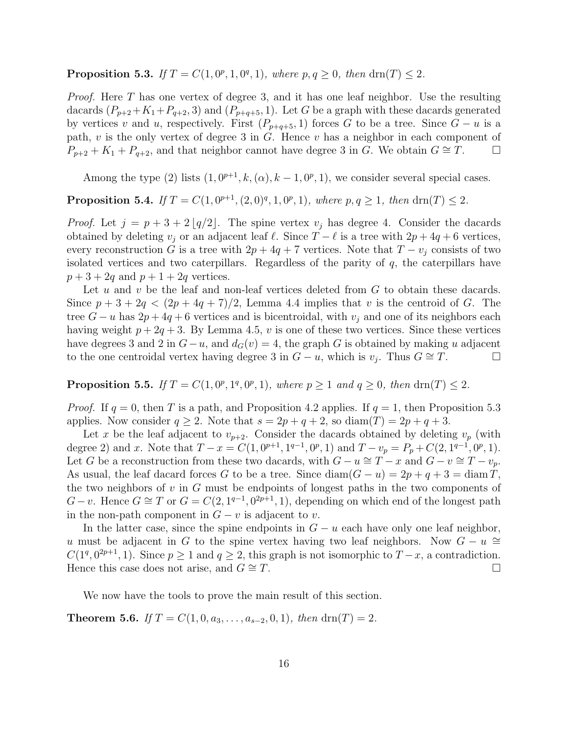**Proposition 5.3.** If  $T = C(1, 0^p, 1, 0^q, 1)$ , where  $p, q \ge 0$ , then  $\text{drn}(T) \le 2$ .

*Proof.* Here  $T$  has one vertex of degree 3, and it has one leaf neighbor. Use the resulting dacards  $(P_{p+2}+K_1+P_{q+2}, 3)$  and  $(P_{p+q+5}, 1)$ . Let G be a graph with these dacards generated by vertices v and u, respectively. First  $(P_{p+q+5}, 1)$  forces G to be a tree. Since  $G - u$  is a path, v is the only vertex of degree 3 in G. Hence v has a neighbor in each component of  $P_{p+2} + K_1 + P_{q+2}$ , and that neighbor cannot have degree 3 in G. We obtain  $G \cong T$ .  $\Box$ 

Among the type (2) lists  $(1, 0^{p+1}, k, (\alpha), k-1, 0^p, 1)$ , we consider several special cases.

### **Proposition 5.4.** If  $T = C(1, 0^{p+1}, (2, 0)^q, 1, 0^p, 1)$ , where  $p, q \ge 1$ , then  $\text{drn}(T) \le 2$ .

*Proof.* Let  $j = p + 3 + 2 |q/2|$ . The spine vertex  $v_j$  has degree 4. Consider the dacards obtained by deleting  $v_i$  or an adjacent leaf  $\ell$ . Since  $T - \ell$  is a tree with  $2p + 4q + 6$  vertices, every reconstruction G is a tree with  $2p + 4q + 7$  vertices. Note that  $T - v_i$  consists of two isolated vertices and two caterpillars. Regardless of the parity of  $q$ , the caterpillars have  $p+3+2q$  and  $p+1+2q$  vertices.

Let  $u$  and  $v$  be the leaf and non-leaf vertices deleted from  $G$  to obtain these dacards. Since  $p + 3 + 2q < (2p + 4q + 7)/2$ , Lemma 4.4 implies that v is the centroid of G. The tree  $G - u$  has  $2p + 4q + 6$  vertices and is bicentroidal, with  $v_j$  and one of its neighbors each having weight  $p + 2q + 3$ . By Lemma 4.5, v is one of these two vertices. Since these vertices have degrees 3 and 2 in  $G-u$ , and  $d_G(v) = 4$ , the graph G is obtained by making u adjacent to the one centroidal vertex having degree 3 in  $G - u$ , which is  $v_j$ . Thus  $G \cong T$ .

**Proposition 5.5.** If  $T = C(1, 0^p, 1^q, 0^p, 1)$ , where  $p \ge 1$  and  $q \ge 0$ , then drn(T)  $\le 2$ .

*Proof.* If  $q = 0$ , then T is a path, and Proposition 4.2 applies. If  $q = 1$ , then Proposition 5.3 applies. Now consider  $q \ge 2$ . Note that  $s = 2p + q + 2$ , so  $diam(T) = 2p + q + 3$ .

Let x be the leaf adjacent to  $v_{p+2}$ . Consider the dacards obtained by deleting  $v_p$  (with degree 2) and x. Note that  $T - x = C(1, 0^{p+1}, 1^{q-1}, 0^p, 1)$  and  $T - v_p = P_p + C(2, 1^{q-1}, 0^p, 1)$ . Let G be a reconstruction from these two dacards, with  $G - u \cong T - x$  and  $G - v \cong T - v_p$ . As usual, the leaf dacard forces G to be a tree. Since  $\text{diam}(G - u) = 2p + q + 3 = \text{diam }T$ , the two neighbors of v in  $G$  must be endpoints of longest paths in the two components of  $G-v$ . Hence  $G \cong T$  or  $G = C(2, 1^{q-1}, 0^{2p+1}, 1)$ , depending on which end of the longest path in the non-path component in  $G - v$  is adjacent to v.

In the latter case, since the spine endpoints in  $G - u$  each have only one leaf neighbor, u must be adjacent in G to the spine vertex having two leaf neighbors. Now  $G - u \cong$  $C(1^q, 0^{2p+1}, 1)$ . Since  $p \ge 1$  and  $q \ge 2$ , this graph is not isomorphic to  $T-x$ , a contradiction. Hence this case does not arise, and  $G \cong T$ .

We now have the tools to prove the main result of this section.

**Theorem 5.6.** If  $T = C(1, 0, a_3, \ldots, a_{s-2}, 0, 1)$ , then drn(T) = 2.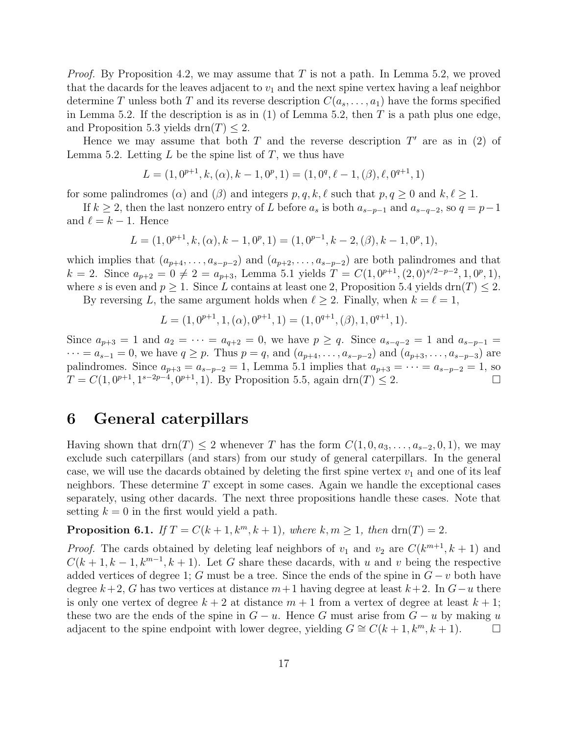*Proof.* By Proposition 4.2, we may assume that T is not a path. In Lemma 5.2, we proved that the dacards for the leaves adjacent to  $v_1$  and the next spine vertex having a leaf neighbor determine T unless both T and its reverse description  $C(a_s, \ldots, a_1)$  have the forms specified in Lemma 5.2. If the description is as in  $(1)$  of Lemma 5.2, then T is a path plus one edge, and Proposition 5.3 yields drn(T)  $\leq 2$ .

Hence we may assume that both  $T$  and the reverse description  $T'$  are as in (2) of Lemma 5.2. Letting  $L$  be the spine list of  $T$ , we thus have

$$
L = (1, 0^{p+1}, k, (\alpha), k - 1, 0^p, 1) = (1, 0^q, \ell - 1, (\beta), \ell, 0^{q+1}, 1)
$$

for some palindromes ( $\alpha$ ) and  $(\beta)$  and integers p, q, k,  $\ell$  such that  $p, q \ge 0$  and  $k, \ell \ge 1$ .

If  $k \geq 2$ , then the last nonzero entry of L before  $a_s$  is both  $a_{s-p-1}$  and  $a_{s-q-2}$ , so  $q = p-1$ and  $\ell = k - 1$ . Hence

$$
L = (1, 0^{p+1}, k, (\alpha), k - 1, 0^p, 1) = (1, 0^{p-1}, k - 2, (\beta), k - 1, 0^p, 1),
$$

which implies that  $(a_{p+4}, \ldots, a_{s-p-2})$  and  $(a_{p+2}, \ldots, a_{s-p-2})$  are both palindromes and that  $k = 2$ . Since  $a_{p+2} = 0 \neq 2 = a_{p+3}$ , Lemma 5.1 yields  $T = C(1, 0^{p+1}, (2, 0)^{s/2-p-2}, 1, 0^p, 1)$ , where s is even and  $p \geq 1$ . Since L contains at least one 2, Proposition 5.4 yields drn(T)  $\leq 2$ .

By reversing L, the same argument holds when  $\ell \geq 2$ . Finally, when  $k = \ell = 1$ ,

$$
L = (1, 0^{p+1}, 1, (\alpha), 0^{p+1}, 1) = (1, 0^{q+1}, (\beta), 1, 0^{q+1}, 1).
$$

Since  $a_{p+3} = 1$  and  $a_2 = \cdots = a_{q+2} = 0$ , we have  $p \ge q$ . Since  $a_{s-q-2} = 1$  and  $a_{s-p-1} =$  $\cdots = a_{s-1} = 0$ , we have  $q \ge p$ . Thus  $p = q$ , and  $(a_{p+4}, \ldots, a_{s-p-2})$  and  $(a_{p+3}, \ldots, a_{s-p-3})$  are palindromes. Since  $a_{p+3} = a_{s-p-2} = 1$ , Lemma 5.1 implies that  $a_{p+3} = \cdots = a_{s-p-2} = 1$ , so  $T = C(1, 0^{p+1}, 1^{s-2p-4}, 0^{p+1}, 1)$ . By Proposition 5.5, again drn(T)  $\leq 2$ .

## 6 General caterpillars

Having shown that drn(T)  $\leq 2$  whenever T has the form  $C(1,0,a_3,\ldots,a_{s-2},0,1)$ , we may exclude such caterpillars (and stars) from our study of general caterpillars. In the general case, we will use the dacards obtained by deleting the first spine vertex  $v_1$  and one of its leaf neighbors. These determine  $T$  except in some cases. Again we handle the exceptional cases separately, using other dacards. The next three propositions handle these cases. Note that setting  $k = 0$  in the first would yield a path.

**Proposition 6.1.** If  $T = C(k+1, k^m, k+1)$ , where  $k, m \ge 1$ , then drn(T) = 2.

*Proof.* The cards obtained by deleting leaf neighbors of  $v_1$  and  $v_2$  are  $C(k^{m+1}, k+1)$  and  $C(k+1, k-1, k^{m-1}, k+1)$ . Let G share these dacards, with u and v being the respective added vertices of degree 1; G must be a tree. Since the ends of the spine in  $G - v$  both have degree  $k+2$ , G has two vertices at distance  $m+1$  having degree at least  $k+2$ . In  $G-u$  there is only one vertex of degree  $k + 2$  at distance  $m + 1$  from a vertex of degree at least  $k + 1$ ; these two are the ends of the spine in  $G - u$ . Hence G must arise from  $G - u$  by making u adjacent to the spine endpoint with lower degree, yielding  $G \cong C(k+1, k^m, k+1)$ .  $\Box$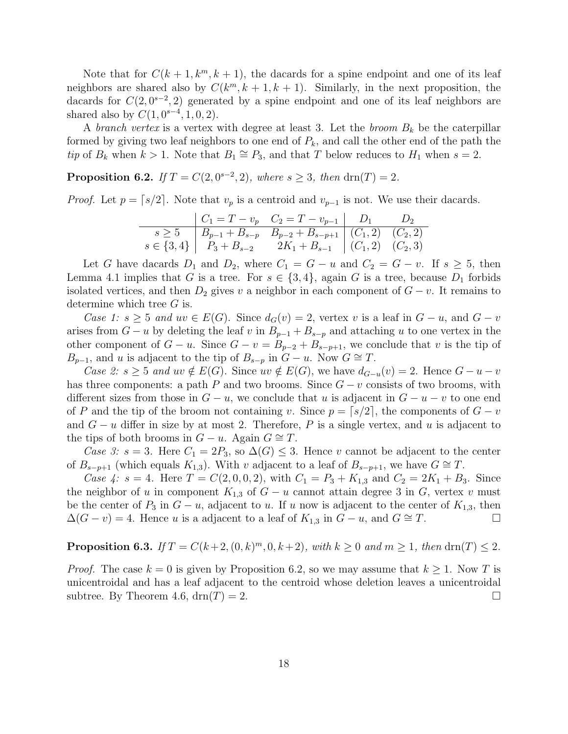Note that for  $C(k+1, k^m, k+1)$ , the dacards for a spine endpoint and one of its leaf neighbors are shared also by  $C(k^m, k+1, k+1)$ . Similarly, in the next proposition, the dacards for  $C(2, 0^{s-2}, 2)$  generated by a spine endpoint and one of its leaf neighbors are shared also by  $C(1, 0^{s-4}, 1, 0, 2)$ .

A branch vertex is a vertex with degree at least 3. Let the broom  $B_k$  be the caterpillar formed by giving two leaf neighbors to one end of  $P_k$ , and call the other end of the path the tip of  $B_k$  when  $k > 1$ . Note that  $B_1 \cong P_3$ , and that T below reduces to  $H_1$  when  $s = 2$ .

**Proposition 6.2.** If  $T = C(2, 0^{s-2}, 2)$ , where  $s \geq 3$ , then  $\text{drn}(T) = 2$ .

*Proof.* Let  $p = \lfloor s/2 \rfloor$ . Note that  $v_p$  is a centroid and  $v_{p-1}$  is not. We use their dacards.

$$
\begin{array}{c|ccccc}\n & C_1 = T - v_p & C_2 = T - v_{p-1} & D_1 & D_2 \\
\hline\ns \ge 5 & B_{p-1} + B_{s-p} & B_{p-2} + B_{s-p+1} & (C_1, 2) & (C_2, 2) \\
s \in \{3, 4\} & P_3 + B_{s-2} & 2K_1 + B_{s-1} & (C_1, 2) & (C_2, 3)\n\end{array}
$$

Let G have dacards  $D_1$  and  $D_2$ , where  $C_1 = G - u$  and  $C_2 = G - v$ . If  $s \geq 5$ , then Lemma 4.1 implies that G is a tree. For  $s \in \{3, 4\}$ , again G is a tree, because  $D_1$  forbids isolated vertices, and then  $D_2$  gives v a neighbor in each component of  $G - v$ . It remains to determine which tree  $G$  is.

Case 1:  $s \geq 5$  and  $uv \in E(G)$ . Since  $d_G(v) = 2$ , vertex v is a leaf in  $G - u$ , and  $G - v$ arises from  $G - u$  by deleting the leaf v in  $B_{p-1} + B_{s-p}$  and attaching u to one vertex in the other component of  $G - u$ . Since  $G - v = B_{p-2} + B_{s-p+1}$ , we conclude that v is the tip of  $B_{p-1}$ , and u is adjacent to the tip of  $B_{s-p}$  in  $G-u$ . Now  $G \cong T$ .

Case 2:  $s \geq 5$  and  $uv \notin E(G)$ . Since  $uv \notin E(G)$ , we have  $d_{G-u}(v) = 2$ . Hence  $G - u - v$ has three components: a path P and two brooms. Since  $G - v$  consists of two brooms, with different sizes from those in  $G - u$ , we conclude that u is adjacent in  $G - u - v$  to one end of P and the tip of the broom not containing v. Since  $p = \lceil s/2 \rceil$ , the components of  $G - v$ and  $G - u$  differ in size by at most 2. Therefore, P is a single vertex, and u is adjacent to the tips of both brooms in  $G - u$ . Again  $G \cong T$ .

Case 3: s = 3. Here  $C_1 = 2P_3$ , so  $\Delta(G) \leq 3$ . Hence v cannot be adjacent to the center of  $B_{s-p+1}$  (which equals  $K_{1,3}$ ). With v adjacent to a leaf of  $B_{s-p+1}$ , we have  $G \cong T$ .

Case 4:  $s = 4$ . Here  $T = C(2, 0, 0, 2)$ , with  $C_1 = P_3 + K_{1,3}$  and  $C_2 = 2K_1 + B_3$ . Since the neighbor of u in component  $K_{1,3}$  of  $G - u$  cannot attain degree 3 in G, vertex v must be the center of  $P_3$  in  $G - u$ , adjacent to u. If u now is adjacent to the center of  $K_{1,3}$ , then  $\Delta(G - v) = 4$ . Hence u is a adjacent to a leaf of  $K_{1,3}$  in  $G - u$ , and  $G \cong T$ .

**Proposition 6.3.** If  $T = C(k+2, 0, k)^m, 0, k+2)$ , with  $k \ge 0$  and  $m \ge 1$ , then drn(T)  $\le 2$ .

*Proof.* The case  $k = 0$  is given by Proposition 6.2, so we may assume that  $k \ge 1$ . Now T is unicentroidal and has a leaf adjacent to the centroid whose deletion leaves a unicentroidal subtree. By Theorem 4.6,  $\text{drn}(T) = 2$ .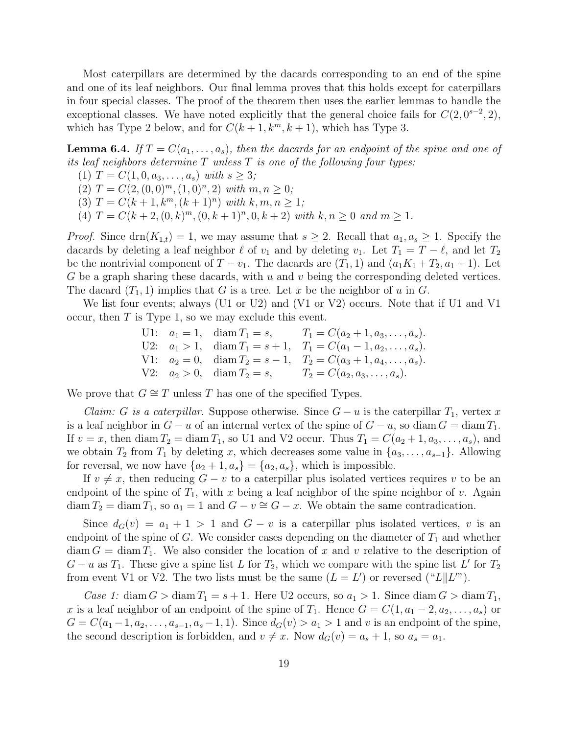Most caterpillars are determined by the dacards corresponding to an end of the spine and one of its leaf neighbors. Our final lemma proves that this holds except for caterpillars in four special classes. The proof of the theorem then uses the earlier lemmas to handle the exceptional classes. We have noted explicitly that the general choice fails for  $C(2, 0^{s-2}, 2)$ , which has Type 2 below, and for  $C(k+1, k^m, k+1)$ , which has Type 3.

**Lemma 6.4.** If  $T = C(a_1, \ldots, a_s)$ , then the dacards for an endpoint of the spine and one of its leaf neighbors determine  $T$  unless  $T$  is one of the following four types:

(1)  $T = C(1, 0, a_3, \ldots, a_s)$  with  $s \geq 3$ ; (2)  $T = C(2, (0, 0)^m, (1, 0)^n, 2)$  with  $m, n \ge 0$ ; (3)  $T = C(k+1, k^m, (k+1)^n)$  with  $k, m, n \ge 1$ ; (4)  $T = C(k+2, (0, k)^m, (0, k+1)^n, 0, k+2)$  with  $k, n \ge 0$  and  $m \ge 1$ .

*Proof.* Since  $\text{drn}(K_{1,t}) = 1$ , we may assume that  $s \geq 2$ . Recall that  $a_1, a_s \geq 1$ . Specify the dacards by deleting a leaf neighbor  $\ell$  of  $v_1$  and by deleting  $v_1$ . Let  $T_1 = T - \ell$ , and let  $T_2$ be the nontrivial component of  $T - v_1$ . The dacards are  $(T_1, 1)$  and  $(a_1K_1 + T_2, a_1 + 1)$ . Let G be a graph sharing these dacards, with u and v being the corresponding deleted vertices. The dacard  $(T_1, 1)$  implies that G is a tree. Let x be the neighbor of u in G.

We list four events; always (U1 or U2) and (V1 or V2) occurs. Note that if U1 and V1 occur, then  $T$  is Type 1, so we may exclude this event.

> U1:  $a_1 = 1$ , diam  $T_1 = s$ ,  $T_1 = C(a_2 + 1, a_3, \ldots, a_s)$ . U2:  $a_1 > 1$ , diam  $T_1 = s + 1$ ,  $T_1 = C(a_1 - 1, a_2, \ldots, a_s)$ . V1:  $a_2 = 0$ ,  $\text{diam } T_2 = s - 1$ ,  $T_2 = C(a_3 + 1, a_4, \dots, a_s)$ . V2:  $a_2 > 0$ ,  $\text{diam } T_2 = s$ ,  $T_2 = C(a_2, a_3, \dots, a_s)$ .

We prove that  $G \cong T$  unless T has one of the specified Types.

*Claim: G is a caterpillar.* Suppose otherwise. Since  $G - u$  is the caterpillar  $T_1$ , vertex x is a leaf neighbor in  $G - u$  of an internal vertex of the spine of  $G - u$ , so diam  $G = \text{diam } T_1$ . If  $v = x$ , then diam  $T_2 = \text{diam } T_1$ , so U1 and V2 occur. Thus  $T_1 = C(a_2 + 1, a_3, \ldots, a_s)$ , and we obtain  $T_2$  from  $T_1$  by deleting x, which decreases some value in  $\{a_3, \ldots, a_{s-1}\}$ . Allowing for reversal, we now have  $\{a_2 + 1, a_s\} = \{a_2, a_s\}$ , which is impossible.

If  $v \neq x$ , then reducing  $G - v$  to a caterpillar plus isolated vertices requires v to be an endpoint of the spine of  $T_1$ , with x being a leaf neighbor of the spine neighbor of v. Again  $\text{diam } T_2 = \text{diam } T_1$ , so  $a_1 = 1$  and  $G - v \cong G - x$ . We obtain the same contradication.

Since  $d_G(v) = a_1 + 1 > 1$  and  $G - v$  is a caterpillar plus isolated vertices, v is an endpoint of the spine of G. We consider cases depending on the diameter of  $T_1$  and whether  $\dim G = \dim T_1$ . We also consider the location of x and v relative to the description of  $G - u$  as  $T_1$ . These give a spine list L for  $T_2$ , which we compare with the spine list L' for  $T_2$ from event V1 or V2. The two lists must be the same  $(L = L')$  or reversed  $({}^{\omega}L||L^{\prime\omega})$ .

Case 1: diam  $G > \text{diam } T_1 = s + 1$ . Here U2 occurs, so  $a_1 > 1$ . Since diam  $G > \text{diam } T_1$ , x is a leaf neighbor of an endpoint of the spine of  $T_1$ . Hence  $G = C(1, a_1 - 2, a_2, \ldots, a_s)$  or  $G = C(a_1-1, a_2, \ldots, a_{s-1}, a_s-1, 1)$ . Since  $d_G(v) > a_1 > 1$  and v is an endpoint of the spine, the second description is forbidden, and  $v \neq x$ . Now  $d_G(v) = a_s + 1$ , so  $a_s = a_1$ .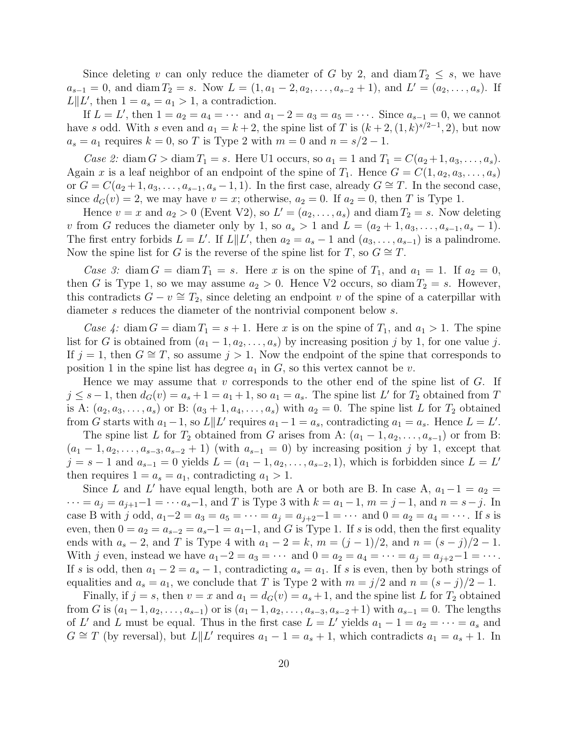Since deleting v can only reduce the diameter of G by 2, and diam  $T_2 \leq s$ , we have  $a_{s-1} = 0$ , and diam  $T_2 = s$ . Now  $L = (1, a_1 - 2, a_2, \ldots, a_{s-2} + 1)$ , and  $L' = (a_2, \ldots, a_s)$ . If  $L||L'$ , then  $1 = a_s = a_1 > 1$ , a contradiction.

If  $L = L'$ , then  $1 = a_2 = a_4 = \cdots$  and  $a_1 - 2 = a_3 = a_5 = \cdots$ . Since  $a_{s-1} = 0$ , we cannot have s odd. With s even and  $a_1 = k + 2$ , the spine list of T is  $(k + 2, (1, k)^{s/2-1}, 2)$ , but now  $a_s = a_1$  requires  $k = 0$ , so T is Type 2 with  $m = 0$  and  $n = s/2 - 1$ .

Case 2: diam  $G >$  diam  $T_1 = s$ . Here U1 occurs, so  $a_1 = 1$  and  $T_1 = C(a_2 + 1, a_3, \ldots, a_s)$ . Again x is a leaf neighbor of an endpoint of the spine of  $T_1$ . Hence  $G = C(1, a_2, a_3, \ldots, a_s)$ or  $G = C(a_2+1, a_3, \ldots, a_{s-1}, a_s-1, 1)$ . In the first case, already  $G \cong T$ . In the second case, since  $d_G(v) = 2$ , we may have  $v = x$ ; otherwise,  $a_2 = 0$ . If  $a_2 = 0$ , then T is Type 1.

Hence  $v = x$  and  $a_2 > 0$  (Event V2), so  $L' = (a_2, \ldots, a_s)$  and diam  $T_2 = s$ . Now deleting v from G reduces the diameter only by 1, so  $a_s > 1$  and  $L = (a_2 + 1, a_3, \ldots, a_{s-1}, a_s - 1)$ . The first entry forbids  $L = L'$ . If  $L||L'$ , then  $a_2 = a_s - 1$  and  $(a_3, \ldots, a_{s-1})$  is a palindrome. Now the spine list for G is the reverse of the spine list for T, so  $G \cong T$ .

Case 3: diam  $G = \text{diam } T_1 = s$ . Here x is on the spine of  $T_1$ , and  $a_1 = 1$ . If  $a_2 = 0$ , then G is Type 1, so we may assume  $a_2 > 0$ . Hence V2 occurs, so diam  $T_2 = s$ . However, this contradicts  $G - v \cong T_2$ , since deleting an endpoint v of the spine of a caterpillar with diameter s reduces the diameter of the nontrivial component below s.

Case 4: diam  $G = \text{diam } T_1 = s + 1$ . Here x is on the spine of  $T_1$ , and  $a_1 > 1$ . The spine list for G is obtained from  $(a_1 - 1, a_2, \ldots, a_s)$  by increasing position j by 1, for one value j. If  $j = 1$ , then  $G \cong T$ , so assume  $j > 1$ . Now the endpoint of the spine that corresponds to position 1 in the spine list has degree  $a_1$  in G, so this vertex cannot be v.

Hence we may assume that v corresponds to the other end of the spine list of  $G$ . If  $j \leq s-1$ , then  $d_G(v) = a_s + 1 = a_1 + 1$ , so  $a_1 = a_s$ . The spine list L' for  $T_2$  obtained from T is A:  $(a_2, a_3, \ldots, a_s)$  or B:  $(a_3 + 1, a_4, \ldots, a_s)$  with  $a_2 = 0$ . The spine list L for  $T_2$  obtained from G starts with  $a_1 - 1$ , so  $L \parallel L'$  requires  $a_1 - 1 = a_s$ , contradicting  $a_1 = a_s$ . Hence  $L = L'$ .

The spine list L for  $T_2$  obtained from G arises from A:  $(a_1 - 1, a_2, \ldots, a_{s-1})$  or from B:  $(a_1 - 1, a_2, \ldots, a_{s-3}, a_{s-2} + 1)$  (with  $a_{s-1} = 0$ ) by increasing position j by 1, except that  $j = s - 1$  and  $a_{s-1} = 0$  yields  $L = (a_1 - 1, a_2, \ldots, a_{s-2}, 1)$ , which is forbidden since  $L = L'$ then requires  $1 = a_s = a_1$ , contradicting  $a_1 > 1$ .

Since L and L' have equal length, both are A or both are B. In case A,  $a_1-1 = a_2 =$  $\cdots = a_j = a_{j+1} - 1 = \cdots a_s - 1$ , and T is Type 3 with  $k = a_1 - 1$ ,  $m = j - 1$ , and  $n = s - j$ . In case B with j odd,  $a_1-2 = a_3 = a_5 = \cdots = a_j = a_{j+2}-1 = \cdots$  and  $0 = a_2 = a_4 = \cdots$ . If s is even, then  $0 = a_2 = a_{s-2} = a_s - 1 = a_1 - 1$ , and G is Type 1. If s is odd, then the first equality ends with  $a_s - 2$ , and T is Type 4 with  $a_1 - 2 = k$ ,  $m = (j - 1)/2$ , and  $n = (s - j)/2 - 1$ . With j even, instead we have  $a_1-2 = a_3 = \cdots$  and  $0 = a_2 = a_4 = \cdots = a_j = a_{j+2}-1 = \cdots$ . If s is odd, then  $a_1 - 2 = a_s - 1$ , contradicting  $a_s = a_1$ . If s is even, then by both strings of equalities and  $a_s = a_1$ , we conclude that T is Type 2 with  $m = j/2$  and  $n = (s - j)/2 - 1$ .

Finally, if  $j = s$ , then  $v = x$  and  $a_1 = d_G(v) = a_s + 1$ , and the spine list L for  $T_2$  obtained from G is  $(a_1-1, a_2, \ldots, a_{s-1})$  or is  $(a_1-1, a_2, \ldots, a_{s-3}, a_{s-2}+1)$  with  $a_{s-1}=0$ . The lengths of L' and L must be equal. Thus in the first case  $L = L'$  yields  $a_1 - 1 = a_2 = \cdots = a_s$  and  $G \cong T$  (by reversal), but  $L||L'$  requires  $a_1 - 1 = a_s + 1$ , which contradicts  $a_1 = a_s + 1$ . In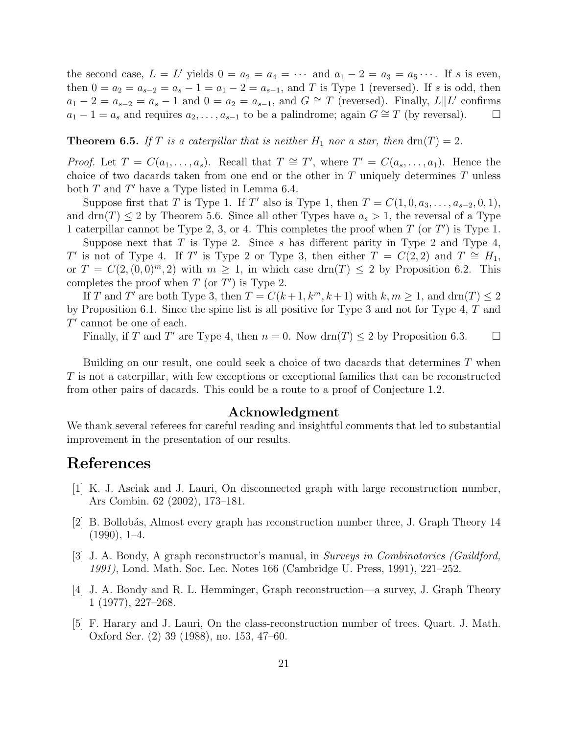the second case,  $L = L'$  yields  $0 = a_2 = a_4 = \cdots$  and  $a_1 - 2 = a_3 = a_5 \cdots$ . If s is even, then  $0 = a_2 = a_{s-2} = a_s - 1 = a_1 - 2 = a_{s-1}$ , and T is Type 1 (reversed). If s is odd, then  $a_1 - 2 = a_{s-2} = a_s - 1$  and  $0 = a_2 = a_{s-1}$ , and  $G \cong T$  (reversed). Finally,  $L||L'$  confirms  $a_1 - 1 = a_s$  and requires  $a_2, \ldots, a_{s-1}$  to be a palindrome; again  $G \cong T$  (by reversal).  $\Box$ 

**Theorem 6.5.** If T is a caterpillar that is neither  $H_1$  nor a star, then  $\text{dm}(T) = 2$ .

*Proof.* Let  $T = C(a_1, \ldots, a_s)$ . Recall that  $T \cong T'$ , where  $T' = C(a_s, \ldots, a_1)$ . Hence the choice of two dacards taken from one end or the other in  $T$  uniquely determines  $T$  unless both  $T$  and  $T'$  have a Type listed in Lemma 6.4.

Suppose first that T is Type 1. If T' also is Type 1, then  $T = C(1, 0, a_3, \ldots, a_{s-2}, 0, 1)$ , and drn(T)  $\leq$  2 by Theorem 5.6. Since all other Types have  $a_s$  > 1, the reversal of a Type 1 caterpillar cannot be Type 2, 3, or 4. This completes the proof when  $T$  (or  $T'$ ) is Type 1.

Suppose next that T is Type 2. Since s has different parity in Type 2 and Type 4, T' is not of Type 4. If T' is Type 2 or Type 3, then either  $T = C(2, 2)$  and  $T \cong H_1$ , or  $T = C(2, (0, 0)^m, 2)$  with  $m \ge 1$ , in which case  $\text{drn}(T) \le 2$  by Proposition 6.2. This completes the proof when  $T$  (or  $T'$ ) is Type 2.

If T and T' are both Type 3, then  $T = C(k+1, k^m, k+1)$  with  $k, m \ge 1$ , and  $\text{drn}(T) \le 2$ by Proposition 6.1. Since the spine list is all positive for Type 3 and not for Type 4, T and  $T'$  cannot be one of each.

Finally, if T and T' are Type 4, then  $n = 0$ . Now  $drn(T) \le 2$  by Proposition 6.3.

Building on our result, one could seek a choice of two dacards that determines T when T is not a caterpillar, with few exceptions or exceptional families that can be reconstructed from other pairs of dacards. This could be a route to a proof of Conjecture 1.2.

### Acknowledgment

We thank several referees for careful reading and insightful comments that led to substantial improvement in the presentation of our results.

### References

- [1] K. J. Asciak and J. Lauri, On disconnected graph with large reconstruction number, Ars Combin. 62 (2002), 173–181.
- [2] B. Bollob´as, Almost every graph has reconstruction number three, J. Graph Theory 14  $(1990), 1-4.$
- [3] J. A. Bondy, A graph reconstructor's manual, in Surveys in Combinatorics (Guildford, 1991), Lond. Math. Soc. Lec. Notes 166 (Cambridge U. Press, 1991), 221–252.
- [4] J. A. Bondy and R. L. Hemminger, Graph reconstruction—a survey, J. Graph Theory 1 (1977), 227–268.
- [5] F. Harary and J. Lauri, On the class-reconstruction number of trees. Quart. J. Math. Oxford Ser. (2) 39 (1988), no. 153, 47–60.